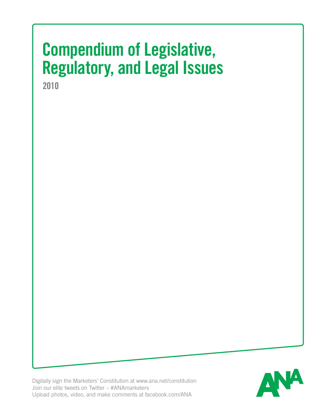# **Compendium of Legislative, Regulatory, and Legal Issues**

**2010**

Digitally sign the Marketers' Constitution at www.ana.net/constitution Join our elite tweets on Twitter – #ANAmarketers Upload photos, video, and make comments at facebook.com/ANA

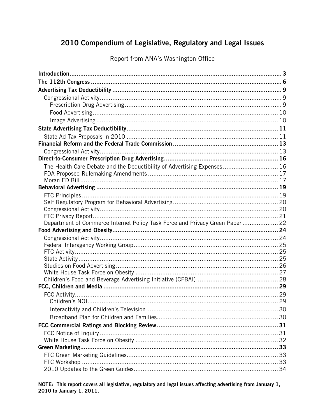# 2010 Compendium of Legislative, Regulatory and Legal Issues

Report from ANA's Washington Office

| The Health Care Debate and the Deductibility of Advertising Expenses 16       |  |
|-------------------------------------------------------------------------------|--|
|                                                                               |  |
|                                                                               |  |
|                                                                               |  |
|                                                                               |  |
|                                                                               |  |
|                                                                               |  |
|                                                                               |  |
|                                                                               |  |
| Department of Commerce Internet Policy Task Force and Privacy Green Paper  22 |  |
|                                                                               |  |
|                                                                               |  |
|                                                                               |  |
|                                                                               |  |
|                                                                               |  |
|                                                                               |  |
|                                                                               |  |
|                                                                               |  |
|                                                                               |  |
|                                                                               |  |
|                                                                               |  |
|                                                                               |  |
|                                                                               |  |
|                                                                               |  |
|                                                                               |  |
|                                                                               |  |
|                                                                               |  |
|                                                                               |  |

NOTE: This report covers all legislative, regulatory and legal issues affecting advertising from January 1, 2010 to January 1, 2011.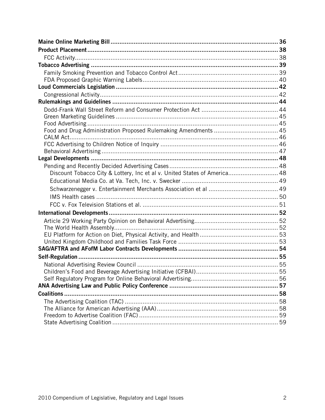| Discount Tobacco City & Lottery, Inc et al v. United States of America 48 |  |
|---------------------------------------------------------------------------|--|
|                                                                           |  |
|                                                                           |  |
|                                                                           |  |
|                                                                           |  |
|                                                                           |  |
|                                                                           |  |
|                                                                           |  |
|                                                                           |  |
|                                                                           |  |
|                                                                           |  |
|                                                                           |  |
|                                                                           |  |
|                                                                           |  |
|                                                                           |  |
|                                                                           |  |
|                                                                           |  |
|                                                                           |  |
|                                                                           |  |
|                                                                           |  |
|                                                                           |  |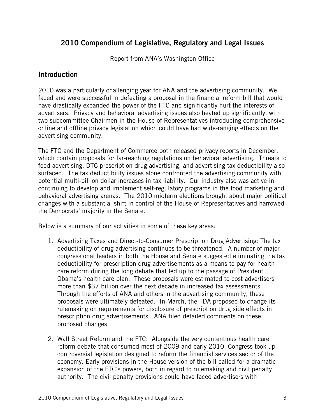# 2010 Compendium of Legislative, Regulatory and Legal Issues

Report from ANA's Washington Office

# **Introduction**

2010 was a particularly challenging year for ANA and the advertising community. We faced and were successful in defeating a proposal in the financial reform bill that would have drastically expanded the power of the FTC and significantly hurt the interests of advertisers. Privacy and behavioral advertising issues also heated up significantly, with two subcommittee Chairmen in the House of Representatives introducing comprehensive online and offline privacy legislation which could have had wide-ranging effects on the advertising community.

The FTC and the Department of Commerce both released privacy reports in December, which contain proposals for far-reaching regulations on behavioral advertising. Threats to food advertising, DTC prescription drug advertising, and advertising tax deductibility also surfaced. The tax deductibility issues alone confronted the advertising community with potential multi-billion dollar increases in tax liability. Our industry also was active in continuing to develop and implement self-regulatory programs in the food marketing and behavioral advertising arenas. The 2010 midterm elections brought about major political changes with a substantial shift in control of the House of Representatives and narrowed the Democrats' majority in the Senate.

Below is a summary of our activities in some of these key areas:

- 1. Advertising Taxes and Direct-to-Consumer Prescription Drug Advertising: The tax deductibility of drug advertising continues to be threatened. A number of major congressional leaders in both the House and Senate suggested eliminating the tax deductibility for prescription drug advertisements as a means to pay for health care reform during the long debate that led up to the passage of President Obama's health care plan. These proposals were estimated to cost advertisers more than \$37 billion over the next decade in increased tax assessments. Through the efforts of ANA and others in the advertising community, these proposals were ultimately defeated. In March, the FDA proposed to change its rulemaking on requirements for disclosure of prescription drug side effects in prescription drug advertisements. ANA filed detailed comments on these proposed changes.
- 2. Wall Street Reform and the FTC: Alongside the very contentious health care reform debate that consumed most of 2009 and early 2010, Congress took up controversial legislation designed to reform the financial services sector of the economy. Early provisions in the House version of the bill called for a dramatic expansion of the FTC's powers, both in regard to rulemaking and civil penalty authority. The civil penalty provisions could have faced advertisers with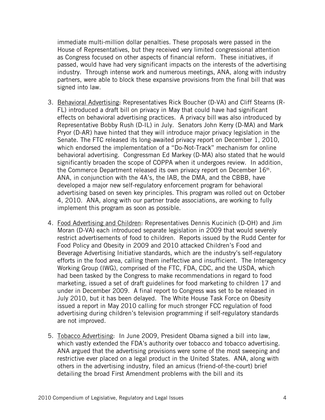immediate multi-million dollar penalties. These proposals were passed in the House of Representatives, but they received very limited congressional attention as Congress focused on other aspects of financial reform. These initiatives, if passed, would have had very significant impacts on the interests of the advertising industry. Through intense work and numerous meetings, ANA, along with industry partners, were able to block these expansive provisions from the final bill that was signed into law.

- 3. Behavioral Advertising: Representatives Rick Boucher (D-VA) and Cliff Stearns (R-FL) introduced a draft bill on privacy in May that could have had significant effects on behavioral advertising practices. A privacy bill was also introduced by Representative Bobby Rush (D-IL) in July. Senators John Kerry (D-MA) and Mark Pryor (D-AR) have hinted that they will introduce major privacy legislation in the Senate. The FTC released its long-awaited privacy report on December 1, 2010, which endorsed the implementation of a "Do-Not-Track" mechanism for online behavioral advertising. Congressman Ed Markey (D-MA) also stated that he would significantly broaden the scope of COPPA when it undergoes review. In addition, the Commerce Department released its own privacy report on December  $16<sup>th</sup>$ . ANA, in conjunction with the 4A's, the IAB, the DMA, and the CBBB, have developed a major new self-regulatory enforcement program for behavioral advertising based on seven key principles. This program was rolled out on October 4, 2010. ANA, along with our partner trade associations, are working to fully implement this program as soon as possible.
- 4. Food Advertising and Children: Representatives Dennis Kucinich (D-OH) and Jim Moran (D-VA) each introduced separate legislation in 2009 that would severely restrict advertisements of food to children. Reports issued by the Rudd Center for Food Policy and Obesity in 2009 and 2010 attacked Children's Food and Beverage Advertising Initiative standards, which are the industry's self-regulatory efforts in the food area, calling them ineffective and insufficient. The Interagency Working Group (IWG), comprised of the FTC, FDA, CDC, and the USDA, which had been tasked by the Congress to make recommendations in regard to food marketing, issued a set of draft guidelines for food marketing to children 17 and under in December 2009. A final report to Congress was set to be released in July 2010, but it has been delayed. The White House Task Force on Obesity issued a report in May 2010 calling for much stronger FCC regulation of food advertising during children's television programming if self-regulatory standards are not improved.
- 5. Tobacco Advertising: In June 2009, President Obama signed a bill into law, which vastly extended the FDA's authority over tobacco and tobacco advertising. ANA argued that the advertising provisions were some of the most sweeping and restrictive ever placed on a legal product in the United States. ANA, along with others in the advertising industry, filed an amicus (friend-of-the-court) brief detailing the broad First Amendment problems with the bill and its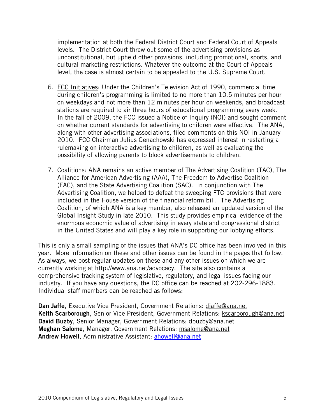implementation at both the Federal District Court and Federal Court of Appeals levels. The District Court threw out some of the advertising provisions as unconstitutional, but upheld other provisions, including promotional, sports, and cultural marketing restrictions. Whatever the outcome at the Court of Appeals level, the case is almost certain to be appealed to the U.S. Supreme Court.

- 6. FCC Initiatives: Under the Children's Television Act of 1990, commercial time during children's programming is limited to no more than 10.5 minutes per hour on weekdays and not more than 12 minutes per hour on weekends, and broadcast stations are required to air three hours of educational programming every week. In the fall of 2009, the FCC issued a Notice of Inquiry (NOI) and sought comment on whether current standards for advertising to children were effective. The ANA, along with other advertising associations, filed comments on this NOI in January 2010. FCC Chairman Julius Genachowski has expressed interest in restarting a rulemaking on interactive advertising to children, as well as evaluating the possibility of allowing parents to block advertisements to children.
- 7. Coalitions: ANA remains an active member of The Advertising Coalition (TAC), The Alliance for American Advertising (AAA), The Freedom to Advertise Coalition (FAC), and the State Advertising Coalition (SAC). In conjunction with The Advertising Coalition, we helped to defeat the sweeping FTC provisions that were included in the House version of the financial reform bill. The Advertising Coalition, of which ANA is a key member, also released an updated version of the Global Insight Study in late 2010. This study provides empirical evidence of the enormous economic value of advertising in every state and congressional district in the United States and will play a key role in supporting our lobbying efforts.

This is only a small sampling of the issues that ANA's DC office has been involved in this year. More information on these and other issues can be found in the pages that follow. As always, we post regular updates on these and any other issues on which we are currently working at http://www.ana.net/advocacy. The site also contains a comprehensive tracking system of legislative, regulatory, and legal issues facing our industry. If you have any questions, the DC office can be reached at 202-296-1883. Individual staff members can be reached as follows:

Dan Jaffe, Executive Vice President, Government Relations: diaffe@ana.net Keith Scarborough, Senior Vice President, Government Relations: kscarborough@ana.net David Buzby, Senior Manager, Government Relations: dbuzby@ana.net Meghan Salome, Manager, Government Relations: msalome@ana.net Andrew Howell, Administrative Assistant: ahowell@ana.net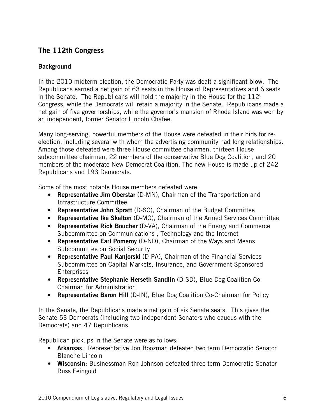# The 112th Congress

# **Background**

In the 2010 midterm election, the Democratic Party was dealt a significant blow. The Republicans earned a net gain of 63 seats in the House of Representatives and 6 seats in the Senate. The Republicans will hold the majority in the House for the  $112<sup>th</sup>$ Congress, while the Democrats will retain a majority in the Senate. Republicans made a net gain of five governorships, while the governor's mansion of Rhode Island was won by an independent, former Senator Lincoln Chafee.

Many long-serving, powerful members of the House were defeated in their bids for reelection, including several with whom the advertising community had long relationships. Among those defeated were three House committee chairmen, thirteen House subcommittee chairmen, 22 members of the conservative Blue Dog Coalition, and 20 members of the moderate New Democrat Coalition. The new House is made up of 242 Republicans and 193 Democrats.

Some of the most notable House members defeated were:

- Representative Jim Oberstar (D-MN), Chairman of the Transportation and Infrastructure Committee
- Representative John Spratt (D-SC), Chairman of the Budget Committee
- Representative Ike Skelton (D-MO), Chairman of the Armed Services Committee
- Representative Rick Boucher (D-VA), Chairman of the Energy and Commerce Subcommittee on Communications , Technology and the Internet
- Representative Earl Pomeroy (D-ND), Chairman of the Ways and Means Subcommittee on Social Security
- Representative Paul Kanjorski (D-PA), Chairman of the Financial Services Subcommittee on Capital Markets, Insurance, and Government-Sponsored **Enterprises**
- Representative Stephanie Herseth Sandlin (D-SD), Blue Dog Coalition Co-Chairman for Administration
- Representative Baron Hill (D-IN), Blue Dog Coalition Co-Chairman for Policy

In the Senate, the Republicans made a net gain of six Senate seats. This gives the Senate 53 Democrats (including two independent Senators who caucus with the Democrats) and 47 Republicans.

Republican pickups in the Senate were as follows:

- **Arkansas:** Representative Jon Boozman defeated two term Democratic Senator Blanche Lincoln
- Wisconsin: Businessman Ron Johnson defeated three term Democratic Senator Russ Feingold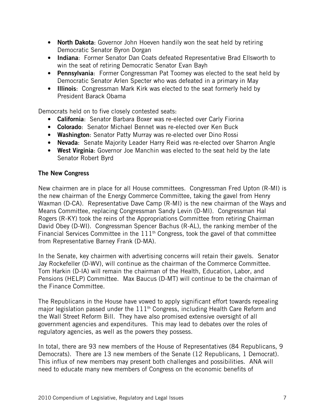- North Dakota: Governor John Hoeven handily won the seat held by retiring Democratic Senator Byron Dorgan
- Indiana: Former Senator Dan Coats defeated Representative Brad Ellsworth to win the seat of retiring Democratic Senator Evan Bayh
- Pennsylvania: Former Congressman Pat Toomey was elected to the seat held by Democratic Senator Arlen Specter who was defeated in a primary in May
- Illinois: Congressman Mark Kirk was elected to the seat formerly held by President Barack Obama

Democrats held on to five closely contested seats:

- California: Senator Barbara Boxer was re-elected over Carly Fiorina
- Colorado: Senator Michael Bennet was re-elected over Ken Buck
- Washington: Senator Patty Murray was re-elected over Dino Rossi
- Nevada: Senate Majority Leader Harry Reid was re-elected over Sharron Angle
- West Virginia: Governor Joe Manchin was elected to the seat held by the late Senator Robert Byrd

# The New Congress

New chairmen are in place for all House committees. Congressman Fred Upton (R-MI) is the new chairman of the Energy Commerce Committee, taking the gavel from Henry Waxman (D-CA). Representative Dave Camp (R-MI) is the new chairman of the Ways and Means Committee, replacing Congressman Sandy Levin (D-MI). Congressman Hal Rogers (R-KY) took the reins of the Appropriations Committee from retiring Chairman David Obey (D-WI). Congressman Spencer Bachus (R-AL), the ranking member of the Financial Services Committee in the  $111<sup>th</sup>$  Congress, took the gavel of that committee from Representative Barney Frank (D-MA).

In the Senate, key chairmen with advertising concerns will retain their gavels. Senator Jay Rockefeller (D-WV), will continue as the chairman of the Commerce Committee. Tom Harkin (D-IA) will remain the chairman of the Health, Education, Labor, and Pensions (HELP) Committee. Max Baucus (D-MT) will continue to be the chairman of the Finance Committee.

The Republicans in the House have vowed to apply significant effort towards repealing major legislation passed under the  $111<sup>th</sup>$  Congress, including Health Care Reform and the Wall Street Reform Bill. They have also promised extensive oversight of all government agencies and expenditures. This may lead to debates over the roles of regulatory agencies, as well as the powers they possess.

In total, there are 93 new members of the House of Representatives (84 Republicans, 9 Democrats). There are 13 new members of the Senate (12 Republicans, 1 Democrat). This influx of new members may present both challenges and possibilities. ANA will need to educate many new members of Congress on the economic benefits of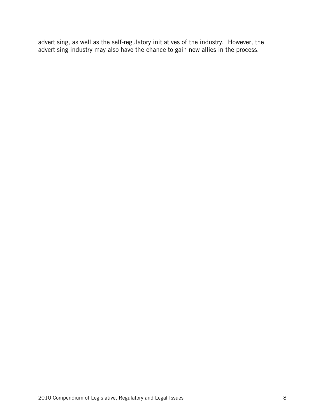advertising, as well as the self-regulatory initiatives of the industry. However, the advertising industry may also have the chance to gain new allies in the process.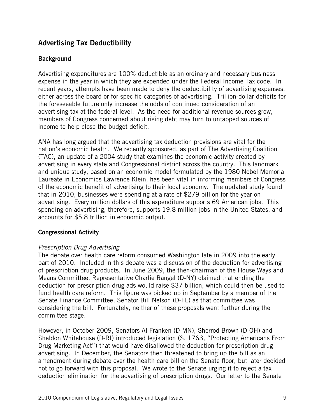# Advertising Tax Deductibility

# **Background**

Advertising expenditures are 100% deductible as an ordinary and necessary business expense in the year in which they are expended under the Federal Income Tax code. In recent years, attempts have been made to deny the deductibility of advertising expenses, either across the board or for specific categories of advertising. Trillion-dollar deficits for the foreseeable future only increase the odds of continued consideration of an advertising tax at the federal level. As the need for additional revenue sources grow, members of Congress concerned about rising debt may turn to untapped sources of income to help close the budget deficit.

ANA has long argued that the advertising tax deduction provisions are vital for the nation's economic health. We recently sponsored, as part of The Advertising Coalition (TAC), an update of a 2004 study that examines the economic activity created by advertising in every state and Congressional district across the country. This landmark and unique study, based on an economic model formulated by the 1980 Nobel Memorial Laureate in Economics Lawrence Klein, has been vital in informing members of Congress of the economic benefit of advertising to their local economy. The updated study found that in 2010, businesses were spending at a rate of \$279 billion for the year on advertising. Every million dollars of this expenditure supports 69 American jobs. This spending on advertising, therefore, supports 19.8 million jobs in the United States, and accounts for \$5.8 trillion in economic output.

#### Congressional Activity

#### Prescription Drug Advertising

The debate over health care reform consumed Washington late in 2009 into the early part of 2010. Included in this debate was a discussion of the deduction for advertising of prescription drug products. In June 2009, the then-chairman of the House Ways and Means Committee, Representative Charlie Rangel (D-NY) claimed that ending the deduction for prescription drug ads would raise \$37 billion, which could then be used to fund health care reform. This figure was picked up in September by a member of the Senate Finance Committee, Senator Bill Nelson (D-FL) as that committee was considering the bill. Fortunately, neither of these proposals went further during the committee stage.

However, in October 2009, Senators Al Franken (D-MN), Sherrod Brown (D-OH) and Sheldon Whitehouse (D-RI) introduced legislation (S. 1763, "Protecting Americans From Drug Marketing Act") that would have disallowed the deduction for prescription drug advertising. In December, the Senators then threatened to bring up the bill as an amendment during debate over the health care bill on the Senate floor, but later decided not to go forward with this proposal. We wrote to the Senate urging it to reject a tax deduction elimination for the advertising of prescription drugs. Our letter to the Senate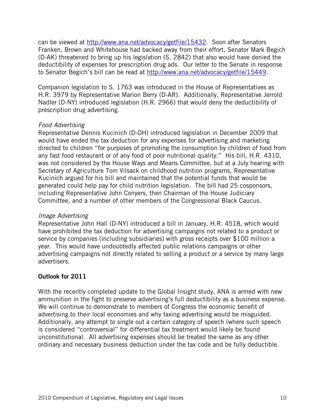can be viewed at http://www.ana.net/advocacy/getfile/15432. Soon after Senators Franken, Brown and Whitehouse had backed away from their effort, Senator Mark Begich (D-AK) threatened to bring up his legislation (S. 2842) that also would have denied the deductibility of expenses for prescription drug ads. Our letter to the Senate in response to Senator Begich's bill can be read at http://www.ana.net/advocacy/getfile/15449.

Companion legislation to S. 1763 was introduced in the House of Representatives as H.R. 3979 by Representative Marion Berry (D-AR). Additionally, Representative Jerrold Nadler (D-NY) introduced legislation (H.R. 2966) that would deny the deductibility of prescription drug advertising.

#### Food Advertising

Representative Dennis Kucinich (D-OH) introduced legislation in December 2009 that would have ended the tax deduction for any expenses for advertising and marketing directed to children "for purposes of promoting the consumption by children of food from any fast food restaurant or of any food of poor nutritional quality." His bill, H.R. 4310, was not considered by the House Ways and Means Committee, but at a July hearing with Secretary of Agriculture Tom Vilsack on childhood nutrition programs, Representative Kucinich argued for his bill and maintained that the potential funds that would be generated could help pay for child nutrition legislation. The bill had 25 cosponsors, including Representative John Conyers, then Chairman of the House Judiciary Committee, and a number of other members of the Congressional Black Caucus.

#### Image Advertising

Representative John Hall (D-NY) introduced a bill in January, H.R. 4518, which would have prohibited the tax deduction for advertising campaigns not related to a product or service by companies (including subsidiaries) with gross receipts over \$100 million a year. This would have undoubtedly affected public relations campaigns or other advertising campaigns not directly related to selling a product or a service by many large advertisers.

# Outlook for 2011

With the recently completed update to the Global Insight study, ANA is armed with new ammunition in the fight to preserve advertising's full deductibility as a business expense. We will continue to demonstrate to members of Congress the economic benefit of advertising to their local economies and why taxing advertising would be misguided. Additionally, any attempt to single out a certain category of speech (where such speech is considered "controversial" for differential tax treatment would likely be found unconstitutional. All advertising expenses should be treated the same as any other ordinary and necessary business deduction under the tax code and be fully deductible.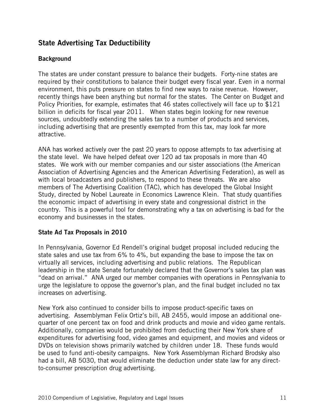# State Advertising Tax Deductibility

# **Background**

The states are under constant pressure to balance their budgets. Forty-nine states are required by their constitutions to balance their budget every fiscal year. Even in a normal environment, this puts pressure on states to find new ways to raise revenue. However, recently things have been anything but normal for the states. The Center on Budget and Policy Priorities, for example, estimates that 46 states collectively will face up to \$121 billion in deficits for fiscal year 2011. When states begin looking for new revenue sources, undoubtedly extending the sales tax to a number of products and services, including advertising that are presently exempted from this tax, may look far more attractive.

ANA has worked actively over the past 20 years to oppose attempts to tax advertising at the state level. We have helped defeat over 120 ad tax proposals in more than 40 states. We work with our member companies and our sister associations (the American Association of Advertising Agencies and the American Advertising Federation), as well as with local broadcasters and publishers, to respond to these threats. We are also members of The Advertising Coalition (TAC), which has developed the Global Insight Study, directed by Nobel Laureate in Economics Lawrence Klein. That study quantifies the economic impact of advertising in every state and congressional district in the country. This is a powerful tool for demonstrating why a tax on advertising is bad for the economy and businesses in the states.

# State Ad Tax Proposals in 2010

In Pennsylvania, Governor Ed Rendell's original budget proposal included reducing the state sales and use tax from 6% to 4%, but expanding the base to impose the tax on virtually all services, including advertising and public relations. The Republican leadership in the state Senate fortunately declared that the Governor's sales tax plan was "dead on arrival." ANA urged our member companies with operations in Pennsylvania to urge the legislature to oppose the governor's plan, and the final budget included no tax increases on advertising.

New York also continued to consider bills to impose product-specific taxes on advertising. Assemblyman Felix Ortiz's bill, AB 2455, would impose an additional onequarter of one percent tax on food and drink products and movie and video game rentals. Additionally, companies would be prohibited from deducting their New York share of expenditures for advertising food, video games and equipment, and movies and videos or DVDs on television shows primarily watched by children under 18. These funds would be used to fund anti-obesity campaigns. New York Assemblyman Richard Brodsky also had a bill, AB 5030, that would eliminate the deduction under state law for any directto-consumer prescription drug advertising.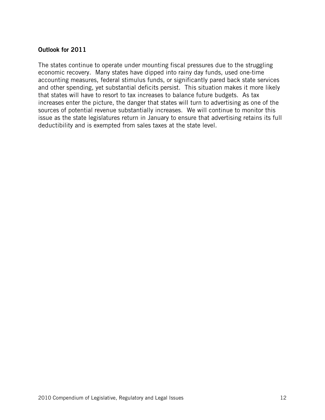#### Outlook for 2011

The states continue to operate under mounting fiscal pressures due to the struggling economic recovery. Many states have dipped into rainy day funds, used one-time accounting measures, federal stimulus funds, or significantly pared back state services and other spending, yet substantial deficits persist. This situation makes it more likely that states will have to resort to tax increases to balance future budgets. As tax increases enter the picture, the danger that states will turn to advertising as one of the sources of potential revenue substantially increases. We will continue to monitor this issue as the state legislatures return in January to ensure that advertising retains its full deductibility and is exempted from sales taxes at the state level.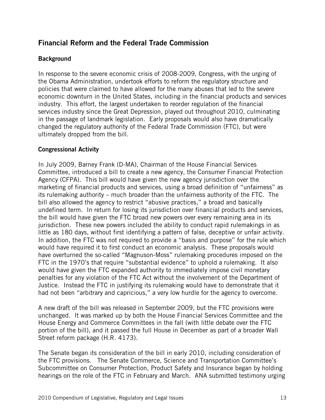# Financial Reform and the Federal Trade Commission

## **Background**

In response to the severe economic crisis of 2008-2009, Congress, with the urging of the Obama Administration, undertook efforts to reform the regulatory structure and policies that were claimed to have allowed for the many abuses that led to the severe economic downturn in the United States, including in the financial products and services industry. This effort, the largest undertaken to reorder regulation of the financial services industry since the Great Depression, played out throughout 2010, culminating in the passage of landmark legislation. Early proposals would also have dramatically changed the regulatory authority of the Federal Trade Commission (FTC), but were ultimately dropped from the bill.

#### Congressional Activity

In July 2009, Barney Frank (D-MA), Chairman of the House Financial Services Committee, introduced a bill to create a new agency, the Consumer Financial Protection Agency (CFPA). This bill would have given the new agency jurisdiction over the marketing of financial products and services, using a broad definition of "unfairness" as its rulemaking authority – much broader than the unfairness authority of the FTC. The bill also allowed the agency to restrict "abusive practices," a broad and basically undefined term. In return for losing its jurisdiction over financial products and services, the bill would have given the FTC broad new powers over every remaining area in its jurisdiction. These new powers included the ability to conduct rapid rulemakings in as little as 180 days, without first identifying a pattern of false, deceptive or unfair activity. In addition, the FTC was not required to provide a "basis and purpose" for the rule which would have required it to first conduct an economic analysis. These proposals would have overturned the so-called "Magnuson-Moss" rulemaking procedures imposed on the FTC in the 1970's that require "substantial evidence" to uphold a rulemaking. It also would have given the FTC expanded authority to immediately impose civil monetary penalties for any violation of the FTC Act without the involvement of the Department of Justice. Instead the FTC in justifying its rulemaking would have to demonstrate that it had not been "arbitrary and capricious," a very low hurdle for the agency to overcome.

A new draft of the bill was released in September 2009, but the FTC provisions were unchanged. It was marked up by both the House Financial Services Committee and the House Energy and Commerce Committees in the fall (with little debate over the FTC portion of the bill), and it passed the full House in December as part of a broader Wall Street reform package (H.R. 4173).

The Senate began its consideration of the bill in early 2010, including consideration of the FTC provisions. The Senate Commerce, Science and Transportation Committee's Subcommittee on Consumer Protection, Product Safety and Insurance began by holding hearings on the role of the FTC in February and March. ANA submitted testimony urging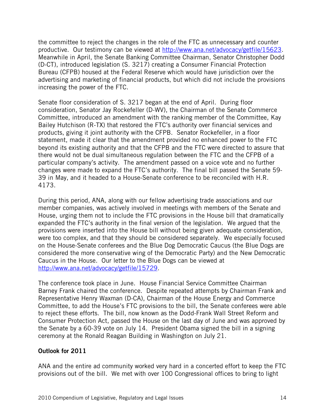the committee to reject the changes in the role of the FTC as unnecessary and counter productive. Our testimony can be viewed at http://www.ana.net/advocacy/getfile/15623. Meanwhile in April, the Senate Banking Committee Chairman, Senator Christopher Dodd (D-CT), introduced legislation (S. 3217) creating a Consumer Financial Protection Bureau (CFPB) housed at the Federal Reserve which would have jurisdiction over the advertising and marketing of financial products, but which did not include the provisions increasing the power of the FTC.

Senate floor consideration of S. 3217 began at the end of April. During floor consideration, Senator Jay Rockefeller (D-WV), the Chairman of the Senate Commerce Committee, introduced an amendment with the ranking member of the Committee, Kay Bailey Hutchison (R-TX) that restored the FTC's authority over financial services and products, giving it joint authority with the CFPB. Senator Rockefeller, in a floor statement, made it clear that the amendment provided no enhanced power to the FTC beyond its existing authority and that the CFPB and the FTC were directed to assure that there would not be dual simultaneous regulation between the FTC and the CFPB of a particular company's activity. The amendment passed on a voice vote and no further changes were made to expand the FTC's authority. The final bill passed the Senate 59- 39 in May, and it headed to a House-Senate conference to be reconciled with H.R. 4173.

During this period, ANA, along with our fellow advertising trade associations and our member companies, was actively involved in meetings with members of the Senate and House, urging them not to include the FTC provisions in the House bill that dramatically expanded the FTC's authority in the final version of the legislation. We argued that the provisions were inserted into the House bill without being given adequate consideration, were too complex, and that they should be considered separately. We especially focused on the House-Senate conferees and the Blue Dog Democratic Caucus (the Blue Dogs are considered the more conservative wing of the Democratic Party) and the New Democratic Caucus in the House. Our letter to the Blue Dogs can be viewed at http://www.ana.net/advocacy/getfile/15729.

The conference took place in June. House Financial Service Committee Chairman Barney Frank chaired the conference. Despite repeated attempts by Chairman Frank and Representative Henry Waxman (D-CA), Chairman of the House Energy and Commerce Committee, to add the House's FTC provisions to the bill, the Senate conferees were able to reject these efforts. The bill, now known as the Dodd-Frank Wall Street Reform and Consumer Protection Act, passed the House on the last day of June and was approved by the Senate by a 60-39 vote on July 14. President Obama signed the bill in a signing ceremony at the Ronald Reagan Building in Washington on July 21.

#### Outlook for 2011

ANA and the entire ad community worked very hard in a concerted effort to keep the FTC provisions out of the bill. We met with over 100 Congressional offices to bring to light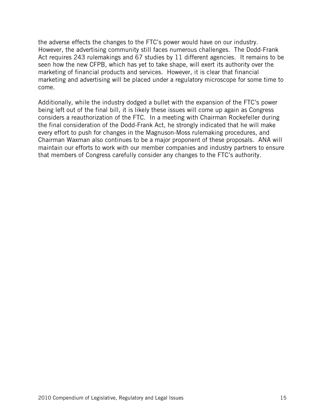the adverse effects the changes to the FTC's power would have on our industry. However, the advertising community still faces numerous challenges. The Dodd-Frank Act requires 243 rulemakings and 67 studies by 11 different agencies. It remains to be seen how the new CFPB, which has yet to take shape, will exert its authority over the marketing of financial products and services. However, it is clear that financial marketing and advertising will be placed under a regulatory microscope for some time to come.

Additionally, while the industry dodged a bullet with the expansion of the FTC's power being left out of the final bill, it is likely these issues will come up again as Congress considers a reauthorization of the FTC. In a meeting with Chairman Rockefeller during the final consideration of the Dodd-Frank Act, he strongly indicated that he will make every effort to push for changes in the Magnuson-Moss rulemaking procedures, and Chairman Waxman also continues to be a major proponent of these proposals. ANA will maintain our efforts to work with our member companies and industry partners to ensure that members of Congress carefully consider any changes to the FTC's authority.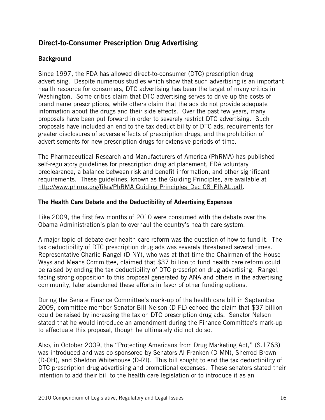# Direct-to-Consumer Prescription Drug Advertising

# **Background**

Since 1997, the FDA has allowed direct-to-consumer (DTC) prescription drug advertising. Despite numerous studies which show that such advertising is an important health resource for consumers, DTC advertising has been the target of many critics in Washington. Some critics claim that DTC advertising serves to drive up the costs of brand name prescriptions, while others claim that the ads do not provide adequate information about the drugs and their side effects. Over the past few years, many proposals have been put forward in order to severely restrict DTC advertising. Such proposals have included an end to the tax deductibility of DTC ads, requirements for greater disclosures of adverse effects of prescription drugs, and the prohibition of advertisements for new prescription drugs for extensive periods of time.

The Pharmaceutical Research and Manufacturers of America (PhRMA) has published self-regulatory guidelines for prescription drug ad placement, FDA voluntary preclearance, a balance between risk and benefit information, and other significant requirements. These guidelines, known as the Guiding Principles, are available at http://www.phrma.org/files/PhRMA Guiding Principles Dec 08 FINAL.pdf.

#### The Health Care Debate and the Deductibility of Advertising Expenses

Like 2009, the first few months of 2010 were consumed with the debate over the Obama Administration's plan to overhaul the country's health care system.

A major topic of debate over health care reform was the question of how to fund it. The tax deductibility of DTC prescription drug ads was severely threatened several times. Representative Charlie Rangel (D-NY), who was at that time the Chairman of the House Ways and Means Committee, claimed that \$37 billion to fund health care reform could be raised by ending the tax deductibility of DTC prescription drug advertising. Rangel, facing strong opposition to this proposal generated by ANA and others in the advertising community, later abandoned these efforts in favor of other funding options.

During the Senate Finance Committee's mark-up of the health care bill in September 2009, committee member Senator Bill Nelson (D-FL) echoed the claim that \$37 billion could be raised by increasing the tax on DTC prescription drug ads. Senator Nelson stated that he would introduce an amendment during the Finance Committee's mark-up to effectuate this proposal, though he ultimately did not do so.

Also, in October 2009, the "Protecting Americans from Drug Marketing Act," (S.1763) was introduced and was co-sponsored by Senators Al Franken (D-MN), Sherrod Brown (D-OH), and Sheldon Whitehouse (D-RI). This bill sought to end the tax deductibility of DTC prescription drug advertising and promotional expenses. These senators stated their intention to add their bill to the health care legislation or to introduce it as an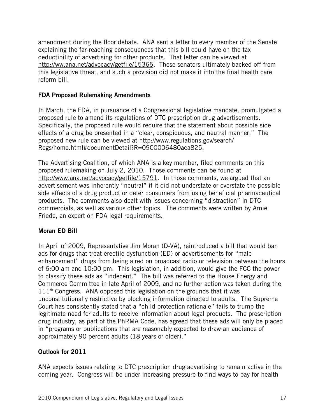amendment during the floor debate. ANA sent a letter to every member of the Senate explaining the far-reaching consequences that this bill could have on the tax deductibility of advertising for other products. That letter can be viewed at http://ww.ana.net/advocacy/getfile/15365. These senators ultimately backed off from this legislative threat, and such a provision did not make it into the final health care reform bill.

## FDA Proposed Rulemaking Amendments

In March, the FDA, in pursuance of a Congressional legislative mandate, promulgated a proposed rule to amend its regulations of DTC prescription drug advertisements. Specifically, the proposed rule would require that the statement about possible side effects of a drug be presented in a "clear, conspicuous, and neutral manner." The proposed new rule can be viewed at http://www.regulations.gov/search/ Regs/home.html#documentDetail?R=0900006480aca825.

The Advertising Coalition, of which ANA is a key member, filed comments on this proposed rulemaking on July 2, 2010. Those comments can be found at http://www.ana.net/advocacy/getfile/15791. In those comments, we argued that an advertisement was inherently "neutral" if it did not understate or overstate the possible side effects of a drug product or deter consumers from using beneficial pharmaceutical products. The comments also dealt with issues concerning "distraction" in DTC commercials, as well as various other topics. The comments were written by Arnie Friede, an expert on FDA legal requirements.

# Moran ED Bill

In April of 2009, Representative Jim Moran (D-VA), reintroduced a bill that would ban ads for drugs that treat erectile dysfunction (ED) or advertisements for "male enhancement" drugs from being aired on broadcast radio or television between the hours of 6:00 am and 10:00 pm. This legislation, in addition, would give the FCC the power to classify these ads as "indecent." The bill was referred to the House Energy and Commerce Committee in late April of 2009, and no further action was taken during the  $111<sup>th</sup>$  Congress. ANA opposed this legislation on the grounds that it was unconstitutionally restrictive by blocking information directed to adults. The Supreme Court has consistently stated that a "child protection rationale" fails to trump the legitimate need for adults to receive information about legal products. The prescription drug industry, as part of the PhRMA Code, has agreed that these ads will only be placed in "programs or publications that are reasonably expected to draw an audience of approximately 90 percent adults (18 years or older)."

# Outlook for 2011

ANA expects issues relating to DTC prescription drug advertising to remain active in the coming year. Congress will be under increasing pressure to find ways to pay for health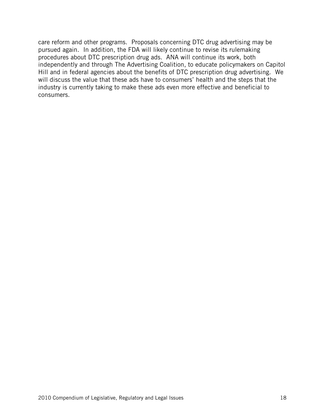care reform and other programs. Proposals concerning DTC drug advertising may be pursued again. In addition, the FDA will likely continue to revise its rulemaking procedures about DTC prescription drug ads. ANA will continue its work, both independently and through The Advertising Coalition, to educate policymakers on Capitol Hill and in federal agencies about the benefits of DTC prescription drug advertising. We will discuss the value that these ads have to consumers' health and the steps that the industry is currently taking to make these ads even more effective and beneficial to consumers.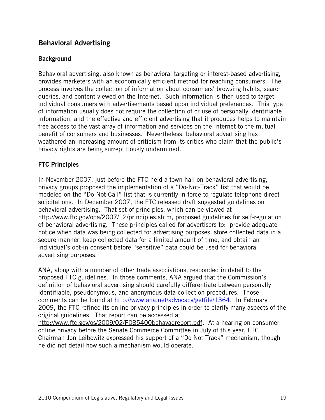# Behavioral Advertising

#### **Background**

Behavioral advertising, also known as behavioral targeting or interest-based advertising, provides marketers with an economically efficient method for reaching consumers. The process involves the collection of information about consumers' browsing habits, search queries, and content viewed on the Internet. Such information is then used to target individual consumers with advertisements based upon individual preferences. This type of information usually does not require the collection of or use of personally identifiable information, and the effective and efficient advertising that it produces helps to maintain free access to the vast array of information and services on the Internet to the mutual benefit of consumers and businesses. Nevertheless, behavioral advertising has weathered an increasing amount of criticism from its critics who claim that the public's privacy rights are being surreptitiously undermined.

#### FTC Principles

In November 2007, just before the FTC held a town hall on behavioral advertising, privacy groups proposed the implementation of a "Do-Not-Track" list that would be modeled on the "Do-Not-Call" list that is currently in force to regulate telephone direct solicitations. In December 2007, the FTC released draft suggested guidelines on behavioral advertising. That set of principles, which can be viewed at http://www.ftc.gov/opa/2007/12/principles.shtm, proposed guidelines for self-regulation of behavioral advertising. These principles called for advertisers to: provide adequate notice when data was being collected for advertising purposes, store collected data in a secure manner, keep collected data for a limited amount of time, and obtain an individual's opt-in consent before "sensitive" data could be used for behavioral advertising purposes.

ANA, along with a number of other trade associations, responded in detail to the proposed FTC guidelines. In those comments, ANA argued that the Commission's definition of behavioral advertising should carefully differentiate between personally identifiable, pseudonymous, and anonymous data collection procedures. Those comments can be found at http://www.ana.net/advocacy/getfile/1364. In February 2009, the FTC refined its online privacy principles in order to clarify many aspects of the original guidelines. That report can be accessed at http://www.ftc.gov/os/2009/02/P085400behavadreport.pdf. At a hearing on consumer online privacy before the Senate Commerce Committee in July of this year, FTC Chairman Jon Leibowitz expressed his support of a "Do Not Track" mechanism, though he did not detail how such a mechanism would operate.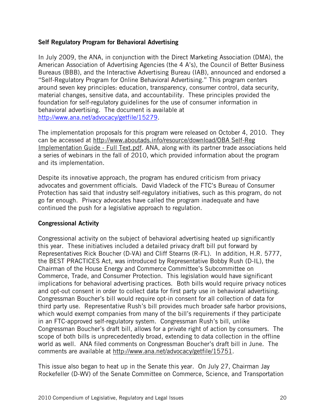#### Self Regulatory Program for Behavioral Advertising

In July 2009, the ANA, in conjunction with the Direct Marketing Association (DMA), the American Association of Advertising Agencies (the 4 A's), the Council of Better Business Bureaus (BBB), and the Interactive Advertising Bureau (IAB), announced and endorsed a "Self-Regulatory Program for Online Behavioral Advertising." This program centers around seven key principles: education, transparency, consumer control, data security, material changes, sensitive data, and accountability. These principles provided the foundation for self-regulatory guidelines for the use of consumer information in behavioral advertising. The document is available at http://www.ana.net/advocacy/getfile/15279.

The implementation proposals for this program were released on October 4, 2010. They can be accessed at http://www.aboutads.info/resource/download/OBA Self-Reg Implementation Guide - Full Text.pdf. ANA, along with its partner trade associations held a series of webinars in the fall of 2010, which provided information about the program and its implementation.

Despite its innovative approach, the program has endured criticism from privacy advocates and government officials. David Vladeck of the FTC's Bureau of Consumer Protection has said that industry self-regulatory initiatives, such as this program, do not go far enough. Privacy advocates have called the program inadequate and have continued the push for a legislative approach to regulation.

#### Congressional Activity

Congressional activity on the subject of behavioral advertising heated up significantly this year. These initiatives included a detailed privacy draft bill put forward by Representatives Rick Boucher (D-VA) and Cliff Stearns (R-FL). In addition, H.R. 5777, the BEST PRACTICES Act, was introduced by Representative Bobby Rush (D-IL), the Chairman of the House Energy and Commerce Committee's Subcommittee on Commerce, Trade, and Consumer Protection. This legislation would have significant implications for behavioral advertising practices. Both bills would require privacy notices and opt-out consent in order to collect data for first party use in behavioral advertising. Congressman Boucher's bill would require opt-in consent for all collection of data for third party use. Representative Rush's bill provides much broader safe harbor provisions, which would exempt companies from many of the bill's requirements if they participate in an FTC-approved self-regulatory system. Congressman Rush's bill, unlike Congressman Boucher's draft bill, allows for a private right of action by consumers. The scope of both bills is unprecedentedly broad, extending to data collection in the offline world as well. ANA filed comments on Congressman Boucher's draft bill in June. The comments are available at http://www.ana.net/advocacy/getfile/15751.

This issue also began to heat up in the Senate this year. On July 27, Chairman Jay Rockefeller (D-WV) of the Senate Committee on Commerce, Science, and Transportation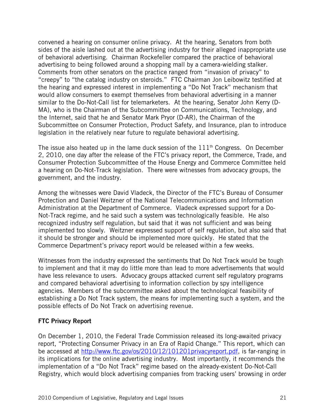convened a hearing on consumer online privacy. At the hearing, Senators from both sides of the aisle lashed out at the advertising industry for their alleged inappropriate use of behavioral advertising. Chairman Rockefeller compared the practice of behavioral advertising to being followed around a shopping mall by a camera-wielding stalker. Comments from other senators on the practice ranged from "invasion of privacy" to "creepy" to "the catalog industry on steroids." FTC Chairman Jon Leibowitz testified at the hearing and expressed interest in implementing a "Do Not Track" mechanism that would allow consumers to exempt themselves from behavioral advertising in a manner similar to the Do-Not-Call list for telemarketers. At the hearing, Senator John Kerry (D-MA), who is the Chairman of the Subcommittee on Communications, Technology, and the Internet, said that he and Senator Mark Pryor (D-AR), the Chairman of the Subcommittee on Consumer Protection, Product Safety, and Insurance, plan to introduce legislation in the relatively near future to regulate behavioral advertising.

The issue also heated up in the lame duck session of the  $111<sup>th</sup>$  Congress. On December 2, 2010, one day after the release of the FTC's privacy report, the Commerce, Trade, and Consumer Protection Subcommittee of the House Energy and Commerce Committee held a hearing on Do-Not-Track legislation. There were witnesses from advocacy groups, the government, and the industry.

Among the witnesses were David Vladeck, the Director of the FTC's Bureau of Consumer Protection and Daniel Weitzner of the National Telecommunications and Information Administration at the Department of Commerce. Vladeck expressed support for a Do-Not-Track regime, and he said such a system was technologically feasible. He also recognized industry self regulation, but said that it was not sufficient and was being implemented too slowly. Weitzner expressed support of self regulation, but also said that it should be stronger and should be implemented more quickly. He stated that the Commerce Department's privacy report would be released within a few weeks.

Witnesses from the industry expressed the sentiments that Do Not Track would be tough to implement and that it may do little more than lead to more advertisements that would have less relevance to users. Advocacy groups attacked current self regulatory programs and compared behavioral advertising to information collection by spy intelligence agencies. Members of the subcommittee asked about the technological feasibility of establishing a Do Not Track system, the means for implementing such a system, and the possible effects of Do Not Track on advertising revenue.

# FTC Privacy Report

On December 1, 2010, the Federal Trade Commission released its long-awaited privacy report, "Protecting Consumer Privacy in an Era of Rapid Change." This report, which can be accessed at http://www.ftc.gov/os/2010/12/101201privacyreport.pdf, is far-ranging in its implications for the online advertising industry. Most importantly, it recommends the implementation of a "Do Not Track" regime based on the already-existent Do-Not-Call Registry, which would block advertising companies from tracking users' browsing in order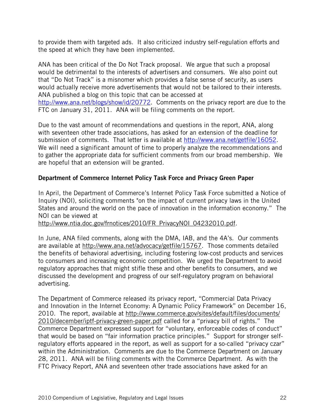to provide them with targeted ads. It also criticized industry self-regulation efforts and the speed at which they have been implemented.

ANA has been critical of the Do Not Track proposal. We argue that such a proposal would be detrimental to the interests of advertisers and consumers. We also point out that "Do Not Track" is a misnomer which provides a false sense of security, as users would actually receive more advertisements that would not be tailored to their interests. ANA published a blog on this topic that can be accessed at http://www.ana.net/blogs/show/id/20772. Comments on the privacy report are due to the FTC on January 31, 2011. ANA will be filing comments on the report.

Due to the vast amount of recommendations and questions in the report, ANA, along with seventeen other trade associations, has asked for an extension of the deadline for submission of comments. That letter is available at http://www.ana.net/getfile/16052. We will need a significant amount of time to properly analyze the recommendations and to gather the appropriate data for sufficient comments from our broad membership. We are hopeful that an extension will be granted.

# Department of Commerce Internet Policy Task Force and Privacy Green Paper

In April, the Department of Commerce's Internet Policy Task Force submitted a Notice of Inquiry (NOI), soliciting comments "on the impact of current privacy laws in the United States and around the world on the pace of innovation in the information economy." The NOI can be viewed at

http://www.ntia.doc.gov/frnotices/2010/FR\_PrivacyNOI\_04232010.pdf.

In June, ANA filed comments, along with the DMA, IAB, and the 4A's. Our comments are available at http://www.ana.net/advocacy/getfile/15767. Those comments detailed the benefits of behavioral advertising, including fostering low-cost products and services to consumers and increasing economic competition. We urged the Department to avoid regulatory approaches that might stifle these and other benefits to consumers, and we discussed the development and progress of our self-regulatory program on behavioral advertising.

The Department of Commerce released its privacy report, "Commercial Data Privacy and Innovation in the Internet Economy: A Dynamic Policy Framework" on December 16, 2010. The report, available at http://www.commerce.gov/sites/default/files/documents/ 2010/december/iptf-privacy-green-paper.pdf called for a "privacy bill of rights." The Commerce Department expressed support for "voluntary, enforceable codes of conduct" that would be based on "fair information practice principles." Support for stronger selfregulatory efforts appeared in the report, as well as support for a so-called "privacy czar" within the Administration. Comments are due to the Commerce Department on January 28, 2011. ANA will be filing comments with the Commerce Department. As with the FTC Privacy Report, ANA and seventeen other trade associations have asked for an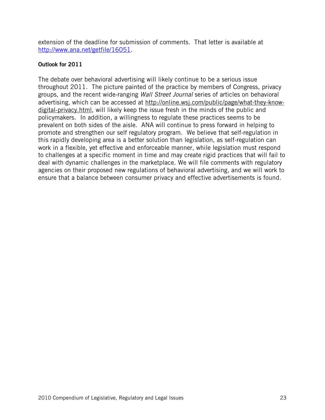extension of the deadline for submission of comments. That letter is available at http://www.ana.net/getfile/16051.

#### Outlook for 2011

The debate over behavioral advertising will likely continue to be a serious issue throughout 2011. The picture painted of the practice by members of Congress, privacy groups, and the recent wide-ranging Wall Street Journal series of articles on behavioral advertising, which can be accessed at http://online.wsj.com/public/page/what-they-knowdigital-privacy.html, will likely keep the issue fresh in the minds of the public and policymakers. In addition, a willingness to regulate these practices seems to be prevalent on both sides of the aisle. ANA will continue to press forward in helping to promote and strengthen our self regulatory program. We believe that self-regulation in this rapidly developing area is a better solution than legislation, as self-regulation can work in a flexible, yet effective and enforceable manner, while legislation must respond to challenges at a specific moment in time and may create rigid practices that will fail to deal with dynamic challenges in the marketplace. We will file comments with regulatory agencies on their proposed new regulations of behavioral advertising, and we will work to ensure that a balance between consumer privacy and effective advertisements is found.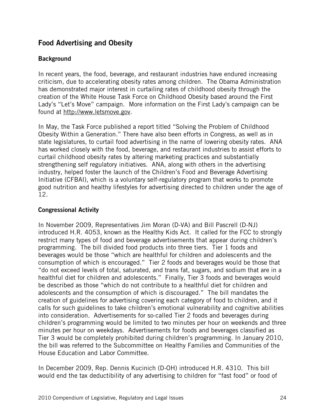# Food Advertising and Obesity

## **Background**

In recent years, the food, beverage, and restaurant industries have endured increasing criticism, due to accelerating obesity rates among children. The Obama Administration has demonstrated major interest in curtailing rates of childhood obesity through the creation of the White House Task Force on Childhood Obesity based around the First Lady's "Let's Move" campaign. More information on the First Lady's campaign can be found at http://www.letsmove.gov.

In May, the Task Force published a report titled "Solving the Problem of Childhood Obesity Within a Generation." There have also been efforts in Congress, as well as in state legislatures, to curtail food advertising in the name of lowering obesity rates. ANA has worked closely with the food, beverage, and restaurant industries to assist efforts to curtail childhood obesity rates by altering marketing practices and substantially strengthening self regulatory initiatives. ANA, along with others in the advertising industry, helped foster the launch of the Children's Food and Beverage Advertising Initiative (CFBAI), which is a voluntary self-regulatory program that works to promote good nutrition and healthy lifestyles for advertising directed to children under the age of 12.

#### Congressional Activity

In November 2009, Representatives Jim Moran (D-VA) and Bill Pascrell (D-NJ) introduced H.R. 4053, known as the Healthy Kids Act. It called for the FCC to strongly restrict many types of food and beverage advertisements that appear during children's programming. The bill divided food products into three tiers. Tier 1 foods and beverages would be those "which are healthful for children and adolescents and the consumption of which is encouraged." Tier 2 foods and beverages would be those that "do not exceed levels of total, saturated, and trans fat, sugars, and sodium that are in a healthful diet for children and adolescents." Finally, Tier 3 foods and beverages would be described as those "which do not contribute to a healthful diet for children and adolescents and the consumption of which is discouraged." The bill mandates the creation of guidelines for advertising covering each category of food to children, and it calls for such guidelines to take children's emotional vulnerability and cognitive abilities into consideration. Advertisements for so-called Tier 2 foods and beverages during children's programming would be limited to two minutes per hour on weekends and three minutes per hour on weekdays. Advertisements for foods and beverages classified as Tier 3 would be completely prohibited during children's programming. In January 2010, the bill was referred to the Subcommittee on Healthy Families and Communities of the House Education and Labor Committee.

In December 2009, Rep. Dennis Kucinich (D-OH) introduced H.R. 4310. This bill would end the tax deductibility of any advertising to children for "fast food" or food of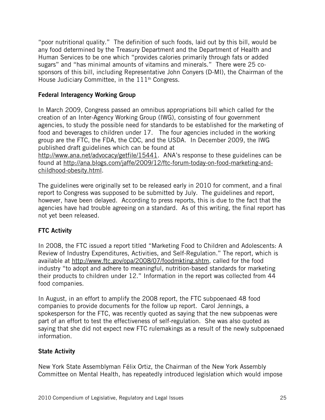"poor nutritional quality." The definition of such foods, laid out by this bill, would be any food determined by the Treasury Department and the Department of Health and Human Services to be one which "provides calories primarily through fats or added sugars" and "has minimal amounts of vitamins and minerals." There were 25 cosponsors of this bill, including Representative John Conyers (D-MI), the Chairman of the House Judiciary Committee, in the 111<sup>th</sup> Congress.

# Federal Interagency Working Group

In March 2009, Congress passed an omnibus appropriations bill which called for the creation of an Inter-Agency Working Group (IWG), consisting of four government agencies, to study the possible need for standards to be established for the marketing of food and beverages to children under 17. The four agencies included in the working group are the FTC, the FDA, the CDC, and the USDA. In December 2009, the IWG published draft guidelines which can be found at http://www.ana.net/advocacy/getfile/15441. ANA's response to these guidelines can be

found at http://ana.blogs.com/jaffe/2009/12/ftc-forum-today-on-food-marketing-andchildhood-obesity.html.

The guidelines were originally set to be released early in 2010 for comment, and a final report to Congress was supposed to be submitted by July. The guidelines and report, however, have been delayed. According to press reports, this is due to the fact that the agencies have had trouble agreeing on a standard. As of this writing, the final report has not yet been released.

# FTC Activity

In 2008, the FTC issued a report titled "Marketing Food to Children and Adolescents: A Review of Industry Expenditures, Activities, and Self-Regulation." The report, which is available at http://www.ftc.gov/opa/2008/07/foodmkting.shtm, called for the food industry "to adopt and adhere to meaningful, nutrition-based standards for marketing their products to children under 12." Information in the report was collected from 44 food companies.

In August, in an effort to amplify the 2008 report, the FTC subpoenaed 48 food companies to provide documents for the follow up report. Carol Jennings, a spokesperson for the FTC, was recently quoted as saying that the new subpoenas were part of an effort to test the effectiveness of self-regulation. She was also quoted as saying that she did not expect new FTC rulemakings as a result of the newly subpoenaed information.

# State Activity

New York State Assemblyman Félix Ortiz, the Chairman of the New York Assembly Committee on Mental Health, has repeatedly introduced legislation which would impose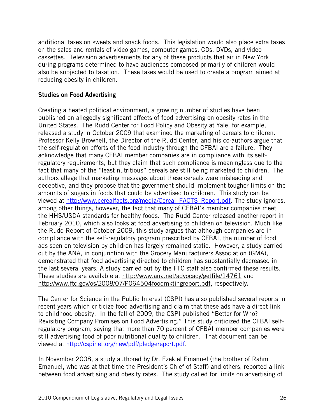additional taxes on sweets and snack foods. This legislation would also place extra taxes on the sales and rentals of video games, computer games, CDs, DVDs, and video cassettes. Television advertisements for any of these products that air in New York during programs determined to have audiences composed primarily of children would also be subjected to taxation. These taxes would be used to create a program aimed at reducing obesity in children.

#### Studies on Food Advertising

Creating a heated political environment, a growing number of studies have been published on allegedly significant effects of food advertising on obesity rates in the United States. The Rudd Center for Food Policy and Obesity at Yale, for example, released a study in October 2009 that examined the marketing of cereals to children. Professor Kelly Brownell, the Director of the Rudd Center, and his co-authors argue that the self-regulation efforts of the food industry through the CFBAI are a failure. They acknowledge that many CFBAI member companies are in compliance with its selfregulatory requirements, but they claim that such compliance is meaningless due to the fact that many of the "least nutritious" cereals are still being marketed to children. The authors allege that marketing messages about these cereals were misleading and deceptive, and they propose that the government should implement tougher limits on the amounts of sugars in foods that could be advertised to children. This study can be viewed at http://www.cerealfacts.org/media/Cereal\_FACTS\_Report.pdf. The study ignores, among other things, however, the fact that many of CFBAI's member companies meet the HHS/USDA standards for healthy foods. The Rudd Center released another report in February 2010, which also looks at food advertising to children on television. Much like the Rudd Report of October 2009, this study argues that although companies are in compliance with the self-regulatory program prescribed by CFBAI, the number of food ads seen on television by children has largely remained static. However, a study carried out by the ANA, in conjunction with the Grocery Manufacturers Association (GMA), demonstrated that food advertising directed to children has substantially decreased in the last several years. A study carried out by the FTC staff also confirmed these results. These studies are available at http://www.ana.net/advocacy/getfile/14761 and http://www.ftc.gov/os/2008/07/P064504foodmktingreport.pdf, respectively.

The Center for Science in the Public Interest (CSPI) has also published several reports in recent years which criticize food advertising and claim that these ads have a direct link to childhood obesity. In the fall of 2009, the CSPI published "Better for Who? Revisiting Company Promises on Food Advertising." This study criticized the CFBAI selfregulatory program, saying that more than 70 percent of CFBAI member companies were still advertising food of poor nutritional quality to children. That document can be viewed at http://cspinet.org/new/pdf/pledgereport.pdf.

In November 2008, a study authored by Dr. Ezekiel Emanuel (the brother of Rahm Emanuel, who was at that time the President's Chief of Staff) and others, reported a link between food advertising and obesity rates. The study called for limits on advertising of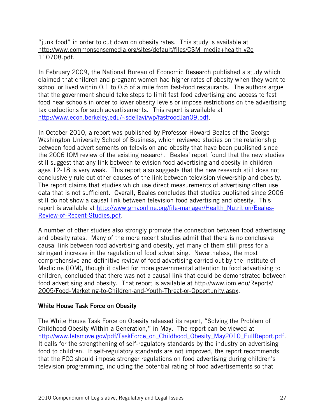"junk food" in order to cut down on obesity rates. This study is available at http://www.commonsensemedia.org/sites/default/files/CSM\_media+health v2c 110708.pdf.

In February 2009, the National Bureau of Economic Research published a study which claimed that children and pregnant women had higher rates of obesity when they went to school or lived within 0.1 to 0.5 of a mile from fast-food restaurants. The authors argue that the government should take steps to limit fast food advertising and access to fast food near schools in order to lower obesity levels or impose restrictions on the advertising tax deductions for such advertisements. This report is available at http://www.econ.berkeley.edu/~sdellavi/wp/fastfoodJan09.pdf.

In October 2010, a report was published by Professor Howard Beales of the George Washington University School of Business, which reviewed studies on the relationship between food advertisements on television and obesity that have been published since the 2006 IOM review of the existing research. Beales' report found that the new studies still suggest that any link between television food advertising and obesity in children ages 12-18 is very weak. This report also suggests that the new research still does not conclusively rule out other causes of the link between television viewership and obesity. The report claims that studies which use direct measurements of advertising often use data that is not sufficient. Overall, Beales concludes that studies published since 2006 still do not show a causal link between television food advertising and obesity. This report is available at http://www.gmaonline.org/file-manager/Health\_Nutrition/Beales-Review-of-Recent-Studies.pdf.

A number of other studies also strongly promote the connection between food advertising and obesity rates. Many of the more recent studies admit that there is no conclusive causal link between food advertising and obesity, yet many of them still press for a stringent increase in the regulation of food advertising. Nevertheless, the most comprehensive and definitive review of food advertising carried out by the Institute of Medicine (IOM), though it called for more governmental attention to food advertising to children, concluded that there was not a causal link that could be demonstrated between food advertising and obesity. That report is available at http://www.iom.edu/Reports/ 2005/Food-Marketing-to-Children-and-Youth-Threat-or-Opportunity.aspx.

#### White House Task Force on Obesity

The White House Task Force on Obesity released its report, "Solving the Problem of Childhood Obesity Within a Generation," in May. The report can be viewed at http://www.letsmove.gov/pdf/TaskForce\_on\_Childhood\_Obesity\_May2010\_FullReport.pdf. It calls for the strengthening of self-regulatory standards by the industry on advertising food to children. If self-regulatory standards are not improved, the report recommends that the FCC should impose stronger regulations on food advertising during children's television programming, including the potential rating of food advertisements so that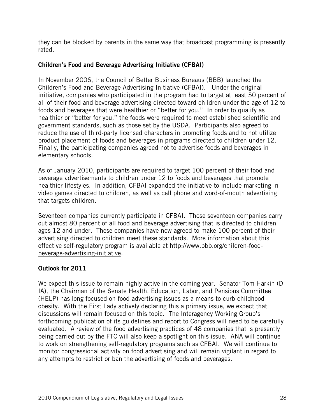they can be blocked by parents in the same way that broadcast programming is presently rated.

# Children's Food and Beverage Advertising Initiative (CFBAI)

In November 2006, the Council of Better Business Bureaus (BBB) launched the Children's Food and Beverage Advertising Initiative (CFBAI). Under the original initiative, companies who participated in the program had to target at least 50 percent of all of their food and beverage advertising directed toward children under the age of 12 to foods and beverages that were healthier or "better for you." In order to qualify as healthier or "better for you," the foods were required to meet established scientific and government standards, such as those set by the USDA. Participants also agreed to reduce the use of third-party licensed characters in promoting foods and to not utilize product placement of foods and beverages in programs directed to children under 12. Finally, the participating companies agreed not to advertise foods and beverages in elementary schools.

As of January 2010, participants are required to target 100 percent of their food and beverage advertisements to children under 12 to foods and beverages that promote healthier lifestyles. In addition, CFBAI expanded the initiative to include marketing in video games directed to children, as well as cell phone and word-of-mouth advertising that targets children.

Seventeen companies currently participate in CFBAI. Those seventeen companies carry out almost 80 percent of all food and beverage advertising that is directed to children ages 12 and under. These companies have now agreed to make 100 percent of their advertising directed to children meet these standards. More information about this effective self-regulatory program is available at http://www.bbb.org/children-foodbeverage-advertising-initiative.

# Outlook for 2011

We expect this issue to remain highly active in the coming year. Senator Tom Harkin (D-IA), the Chairman of the Senate Health, Education, Labor, and Pensions Committee (HELP) has long focused on food advertising issues as a means to curb childhood obesity. With the First Lady actively declaring this a primary issue, we expect that discussions will remain focused on this topic. The Interagency Working Group's forthcoming publication of its guidelines and report to Congress will need to be carefully evaluated. A review of the food advertising practices of 48 companies that is presently being carried out by the FTC will also keep a spotlight on this issue. ANA will continue to work on strengthening self-regulatory programs such as CFBAI. We will continue to monitor congressional activity on food advertising and will remain vigilant in regard to any attempts to restrict or ban the advertising of foods and beverages.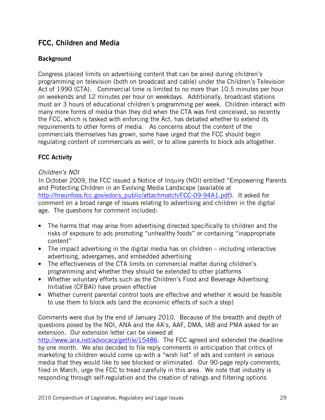# FCC, Children and Media

# **Background**

Congress placed limits on advertising content that can be aired during children's programming on television (both on broadcast and cable) under the Children's Television Act of 1990 (CTA). Commercial time is limited to no more than 10.5 minutes per hour on weekends and 12 minutes per hour on weekdays. Additionally, broadcast stations must air 3 hours of educational children's programming per week. Children interact with many more forms of media than they did when the CTA was first conceived, so recently the FCC, which is tasked with enforcing the Act, has debated whether to extend its requirements to other forms of media. As concerns about the content of the commercials themselves has grown, some have urged that the FCC should begin regulating content of commercials as well, or to allow parents to block ads altogether.

# FCC Activity

# Children's NOI

In October 2009, the FCC issued a Notice of Inquiry (NOI) entitled "Empowering Parents and Protecting Children in an Evolving Media Landscape (available at http://hraunfoss.fcc.gov/edocs\_public/attachmatch/FCC-09-94A1.pdf). It asked for comment on a broad range of issues relating to advertising and children in the digital age. The questions for comment included:

- The harms that may arise from advertising directed specifically to children and the risks of exposure to ads promoting "unhealthy foods" or containing "inappropriate content"
- The impact advertising in the digital media has on children including interactive advertising, advergames, and embedded advertising
- The effectiveness of the CTA limits on commercial matter during children's programming and whether they should be extended to other platforms
- Whether voluntary efforts such as the Children's Food and Beverage Advertising Initiative (CFBAI) have proven effective
- Whether current parental control tools are effective and whether it would be feasible to use them to block ads (and the economic effects of such a step)

Comments were due by the end of January 2010. Because of the breadth and depth of questions posed by the NOI, ANA and the 4A's, AAF, DMA, IAB and PMA asked for an extension. Our extension letter can be viewed at http://www.ana.net/advocacy/getfile/15486. The FCC agreed and extended the deadline by one month. We also decided to file reply comments in anticipation that critics of marketing to children would come up with a "wish list" of ads and content in various media that they would like to see blocked or eliminated. Our 90-page reply comments, filed in March, urge the FCC to tread carefully in this area. We note that industry is responding through self-regulation and the creation of ratings and filtering options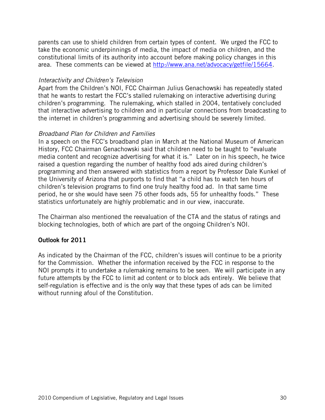parents can use to shield children from certain types of content. We urged the FCC to take the economic underpinnings of media, the impact of media on children, and the constitutional limits of its authority into account before making policy changes in this area. These comments can be viewed at http://www.ana.net/advocacy/getfile/15664.

#### Interactivity and Children's Television

Apart from the Children's NOI, FCC Chairman Julius Genachowski has repeatedly stated that he wants to restart the FCC's stalled rulemaking on interactive advertising during children's programming. The rulemaking, which stalled in 2004, tentatively concluded that interactive advertising to children and in particular connections from broadcasting to the internet in children's programming and advertising should be severely limited.

#### Broadband Plan for Children and Families

In a speech on the FCC's broadband plan in March at the National Museum of American History, FCC Chairman Genachowski said that children need to be taught to "evaluate media content and recognize advertising for what it is." Later on in his speech, he twice raised a question regarding the number of healthy food ads aired during children's programming and then answered with statistics from a report by Professor Dale Kunkel of the University of Arizona that purports to find that "a child has to watch ten hours of children's television programs to find one truly healthy food ad. In that same time period, he or she would have seen 75 other foods ads, 55 for unhealthy foods." These statistics unfortunately are highly problematic and in our view, inaccurate.

The Chairman also mentioned the reevaluation of the CTA and the status of ratings and blocking technologies, both of which are part of the ongoing Children's NOI.

#### Outlook for 2011

As indicated by the Chairman of the FCC, children's issues will continue to be a priority for the Commission. Whether the information received by the FCC in response to the NOI prompts it to undertake a rulemaking remains to be seen. We will participate in any future attempts by the FCC to limit ad content or to block ads entirely. We believe that self-regulation is effective and is the only way that these types of ads can be limited without running afoul of the Constitution.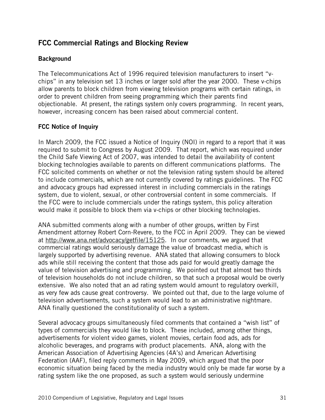# FCC Commercial Ratings and Blocking Review

# **Background**

The Telecommunications Act of 1996 required television manufacturers to insert "vchips" in any television set 13 inches or larger sold after the year 2000. These v-chips allow parents to block children from viewing television programs with certain ratings, in order to prevent children from seeing programming which their parents find objectionable. At present, the ratings system only covers programming. In recent years, however, increasing concern has been raised about commercial content.

# FCC Notice of Inquiry

In March 2009, the FCC issued a Notice of Inquiry (NOI) in regard to a report that it was required to submit to Congress by August 2009. That report, which was required under the Child Safe Viewing Act of 2007, was intended to detail the availability of content blocking technologies available to parents on different communications platforms. The FCC solicited comments on whether or not the television rating system should be altered to include commercials, which are not currently covered by ratings guidelines. The FCC and advocacy groups had expressed interest in including commercials in the ratings system, due to violent, sexual, or other controversial content in some commercials. If the FCC were to include commercials under the ratings system, this policy alteration would make it possible to block them via v-chips or other blocking technologies.

ANA submitted comments along with a number of other groups, written by First Amendment attorney Robert Corn-Revere, to the FCC in April 2009. They can be viewed at http://www.ana.net/advocacy/getfile/15125. In our comments, we argued that commercial ratings would seriously damage the value of broadcast media, which is largely supported by advertising revenue. ANA stated that allowing consumers to block ads while still receiving the content that those ads paid for would greatly damage the value of television advertising and programming. We pointed out that almost two thirds of television households do not include children, so that such a proposal would be overly extensive. We also noted that an ad rating system would amount to regulatory overkill, as very few ads cause great controversy. We pointed out that, due to the large volume of television advertisements, such a system would lead to an administrative nightmare. ANA finally questioned the constitutionality of such a system.

Several advocacy groups simultaneously filed comments that contained a "wish list" of types of commercials they would like to block. These included, among other things, advertisements for violent video games, violent movies, certain food ads, ads for alcoholic beverages, and programs with product placements. ANA, along with the American Association of Advertising Agencies (4A's) and American Advertising Federation (AAF), filed reply comments in May 2009, which argued that the poor economic situation being faced by the media industry would only be made far worse by a rating system like the one proposed, as such a system would seriously undermine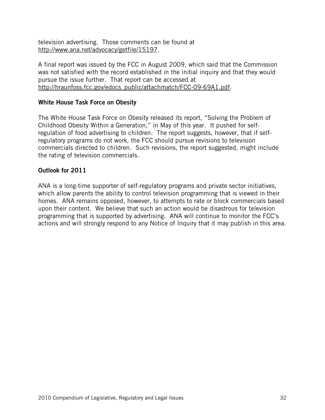television advertising. Those comments can be found at http://www.ana.net/advocacy/getfile/15197.

A final report was issued by the FCC in August 2009, which said that the Commission was not satisfied with the record established in the initial inquiry and that they would pursue the issue further. That report can be accessed at http://hraunfoss.fcc.gov/edocs\_public/attachmatch/FCC-09-69A1.pdf.

## White House Task Force on Obesity

The White House Task Force on Obesity released its report, "Solving the Problem of Childhood Obesity Within a Generation," in May of this year. It pushed for selfregulation of food advertising to children. The report suggests, however, that if selfregulatory programs do not work, the FCC should pursue revisions to television commercials directed to children. Such revisions, the report suggested, might include the rating of television commercials.

#### Outlook for 2011

ANA is a long-time supporter of self-regulatory programs and private sector initiatives, which allow parents the ability to control television programming that is viewed in their homes. ANA remains opposed, however, to attempts to rate or block commercials based upon their content. We believe that such an action would be disastrous for television programming that is supported by advertising. ANA will continue to monitor the FCC's actions and will strongly respond to any Notice of Inquiry that it may publish in this area.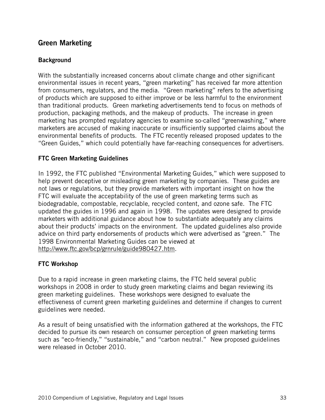# Green Marketing

# **Background**

With the substantially increased concerns about climate change and other significant environmental issues in recent years, "green marketing" has received far more attention from consumers, regulators, and the media. "Green marketing" refers to the advertising of products which are supposed to either improve or be less harmful to the environment than traditional products. Green marketing advertisements tend to focus on methods of production, packaging methods, and the makeup of products. The increase in green marketing has prompted regulatory agencies to examine so-called "greenwashing," where marketers are accused of making inaccurate or insufficiently supported claims about the environmental benefits of products. The FTC recently released proposed updates to the "Green Guides," which could potentially have far-reaching consequences for advertisers.

#### FTC Green Marketing Guidelines

In 1992, the FTC published "Environmental Marketing Guides," which were supposed to help prevent deceptive or misleading green marketing by companies. These guides are not laws or regulations, but they provide marketers with important insight on how the FTC will evaluate the acceptability of the use of green marketing terms such as biodegradable, compostable, recyclable, recycled content, and ozone safe. The FTC updated the guides in 1996 and again in 1998. The updates were designed to provide marketers with additional guidance about how to substantiate adequately any claims about their products' impacts on the environment. The updated guidelines also provide advice on third party endorsements of products which were advertised as "green." The 1998 Environmental Marketing Guides can be viewed at http://www.ftc.gov/bcp/grnrule/guide980427.htm.

# FTC Workshop

Due to a rapid increase in green marketing claims, the FTC held several public workshops in 2008 in order to study green marketing claims and began reviewing its green marketing guidelines. These workshops were designed to evaluate the effectiveness of current green marketing guidelines and determine if changes to current guidelines were needed.

As a result of being unsatisfied with the information gathered at the workshops, the FTC decided to pursue its own research on consumer perception of green marketing terms such as "eco-friendly," "sustainable," and "carbon neutral." New proposed guidelines were released in October 2010.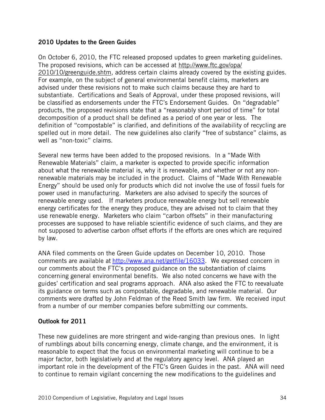#### 2010 Updates to the Green Guides

On October 6, 2010, the FTC released proposed updates to green marketing guidelines. The proposed revisions, which can be accessed at http://www.ftc.gov/opa/ 2010/10/greenguide.shtm, address certain claims already covered by the existing guides. For example, on the subject of general environmental benefit claims, marketers are advised under these revisions not to make such claims because they are hard to substantiate. Certifications and Seals of Approval, under these proposed revisions, will be classified as endorsements under the FTC's Endorsement Guides. On "degradable" products, the proposed revisions state that a "reasonably short period of time" for total decomposition of a product shall be defined as a period of one year or less. The definition of "compostable" is clarified, and definitions of the availability of recycling are spelled out in more detail. The new guidelines also clarify "free of substance" claims, as well as "non-toxic" claims.

Several new terms have been added to the proposed revisions. In a "Made With Renewable Materials" claim, a marketer is expected to provide specific information about what the renewable material is, why it is renewable, and whether or not any nonrenewable materials may be included in the product. Claims of "Made With Renewable Energy" should be used only for products which did not involve the use of fossil fuels for power used in manufacturing. Marketers are also advised to specify the sources of renewable energy used. If marketers produce renewable energy but sell renewable energy certificates for the energy they produce, they are advised not to claim that they use renewable energy. Marketers who claim "carbon offsets" in their manufacturing processes are supposed to have reliable scientific evidence of such claims, and they are not supposed to advertise carbon offset efforts if the efforts are ones which are required by law.

ANA filed comments on the Green Guide updates on December 10, 2010. Those comments are available at http://www.ana.net/getfile/16033. We expressed concern in our comments about the FTC's proposed guidance on the substantiation of claims concerning general environmental benefits. We also noted concerns we have with the guides' certification and seal programs approach. ANA also asked the FTC to reevaluate its guidance on terms such as compostable, degradable, and renewable material. Our comments were drafted by John Feldman of the Reed Smith law firm. We received input from a number of our member companies before submitting our comments.

# Outlook for 2011

These new guidelines are more stringent and wide-ranging than previous ones. In light of rumblings about bills concerning energy, climate change, and the environment, it is reasonable to expect that the focus on environmental marketing will continue to be a major factor, both legislatively and at the regulatory agency level. ANA played an important role in the development of the FTC's Green Guides in the past. ANA will need to continue to remain vigilant concerning the new modifications to the guidelines and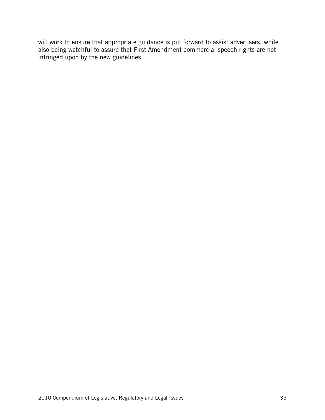will work to ensure that appropriate guidance is put forward to assist advertisers, while also being watchful to assure that First Amendment commercial speech rights are not infringed upon by the new guidelines.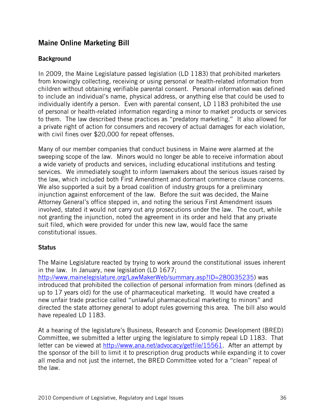# Maine Online Marketing Bill

#### **Background**

In 2009, the Maine Legislature passed legislation (LD 1183) that prohibited marketers from knowingly collecting, receiving or using personal or health-related information from children without obtaining verifiable parental consent. Personal information was defined to include an individual's name, physical address, or anything else that could be used to individually identify a person. Even with parental consent, LD 1183 prohibited the use of personal or health-related information regarding a minor to market products or services to them. The law described these practices as "predatory marketing." It also allowed for a private right of action for consumers and recovery of actual damages for each violation, with civil fines over \$20,000 for repeat offenses.

Many of our member companies that conduct business in Maine were alarmed at the sweeping scope of the law. Minors would no longer be able to receive information about a wide variety of products and services, including educational institutions and testing services. We immediately sought to inform lawmakers about the serious issues raised by the law, which included both First Amendment and dormant commerce clause concerns. We also supported a suit by a broad coalition of industry groups for a preliminary injunction against enforcement of the law. Before the suit was decided, the Maine Attorney General's office stepped in, and noting the serious First Amendment issues involved, stated it would not carry out any prosecutions under the law. The court, while not granting the injunction, noted the agreement in its order and held that any private suit filed, which were provided for under this new law, would face the same constitutional issues.

#### **Status**

The Maine Legislature reacted by trying to work around the constitutional issues inherent in the law. In January, new legislation (LD 1677; http://www.mainelegislature.org/LawMakerWeb/summary.asp?ID=280035235) was introduced that prohibited the collection of personal information from minors (defined as up to 17 years old) for the use of pharmaceutical marketing. It would have created a new unfair trade practice called "unlawful pharmaceutical marketing to minors" and directed the state attorney general to adopt rules governing this area. The bill also would have repealed LD 1183.

At a hearing of the legislature's Business, Research and Economic Development (BRED) Committee, we submitted a letter urging the legislature to simply repeal LD 1183. That letter can be viewed at http://www.ana.net/advocacy/getfile/15561. After an attempt by the sponsor of the bill to limit it to prescription drug products while expanding it to cover all media and not just the internet, the BRED Committee voted for a "clean" repeal of the law.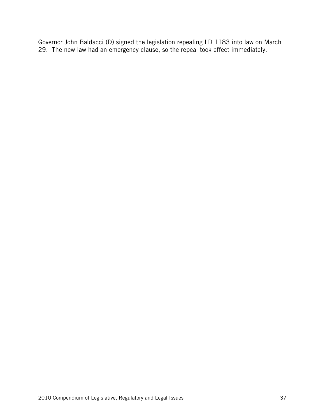Governor John Baldacci (D) signed the legislation repealing LD 1183 into law on March 29. The new law had an emergency clause, so the repeal took effect immediately.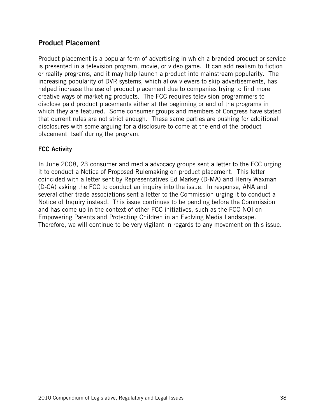# Product Placement

Product placement is a popular form of advertising in which a branded product or service is presented in a television program, movie, or video game. It can add realism to fiction or reality programs, and it may help launch a product into mainstream popularity. The increasing popularity of DVR systems, which allow viewers to skip advertisements, has helped increase the use of product placement due to companies trying to find more creative ways of marketing products. The FCC requires television programmers to disclose paid product placements either at the beginning or end of the programs in which they are featured. Some consumer groups and members of Congress have stated that current rules are not strict enough. These same parties are pushing for additional disclosures with some arguing for a disclosure to come at the end of the product placement itself during the program.

#### FCC Activity

In June 2008, 23 consumer and media advocacy groups sent a letter to the FCC urging it to conduct a Notice of Proposed Rulemaking on product placement. This letter coincided with a letter sent by Representatives Ed Markey (D-MA) and Henry Waxman (D-CA) asking the FCC to conduct an inquiry into the issue. In response, ANA and several other trade associations sent a letter to the Commission urging it to conduct a Notice of Inquiry instead. This issue continues to be pending before the Commission and has come up in the context of other FCC initiatives, such as the FCC NOI on Empowering Parents and Protecting Children in an Evolving Media Landscape. Therefore, we will continue to be very vigilant in regards to any movement on this issue.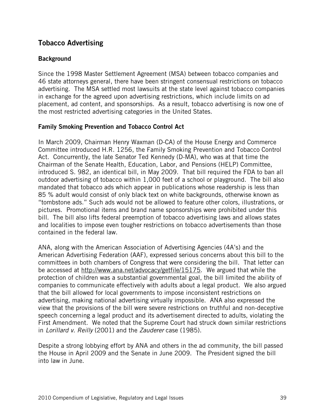# Tobacco Advertising

# **Background**

Since the 1998 Master Settlement Agreement (MSA) between tobacco companies and 46 state attorneys general, there have been stringent consensual restrictions on tobacco advertising. The MSA settled most lawsuits at the state level against tobacco companies in exchange for the agreed upon advertising restrictions, which include limits on ad placement, ad content, and sponsorships. As a result, tobacco advertising is now one of the most restricted advertising categories in the United States.

# Family Smoking Prevention and Tobacco Control Act

In March 2009, Chairman Henry Waxman (D-CA) of the House Energy and Commerce Committee introduced H.R. 1256, the Family Smoking Prevention and Tobacco Control Act. Concurrently, the late Senator Ted Kennedy (D-MA), who was at that time the Chairman of the Senate Health, Education, Labor, and Pensions (HELP) Committee, introduced S. 982, an identical bill, in May 2009. That bill required the FDA to ban all outdoor advertising of tobacco within 1,000 feet of a school or playground. The bill also mandated that tobacco ads which appear in publications whose readership is less than 85 % adult would consist of only black text on white backgrounds, otherwise known as "tombstone ads." Such ads would not be allowed to feature other colors, illustrations, or pictures. Promotional items and brand name sponsorships were prohibited under this bill. The bill also lifts federal preemption of tobacco advertising laws and allows states and localities to impose even tougher restrictions on tobacco advertisements than those contained in the federal law.

ANA, along with the American Association of Advertising Agencies (4A's) and the American Advertising Federation (AAF), expressed serious concerns about this bill to the committees in both chambers of Congress that were considering the bill. That letter can be accessed at http://www.ana.net/advocacy/getfile/15175. We argued that while the protection of children was a substantial governmental goal, the bill limited the ability of companies to communicate effectively with adults about a legal product. We also argued that the bill allowed for local governments to impose inconsistent restrictions on advertising, making national advertising virtually impossible. ANA also expressed the view that the provisions of the bill were severe restrictions on truthful and non-deceptive speech concerning a legal product and its advertisement directed to adults, violating the First Amendment. We noted that the Supreme Court had struck down similar restrictions in Lorillard v. Reilly (2001) and the Zauderer case (1985).

Despite a strong lobbying effort by ANA and others in the ad community, the bill passed the House in April 2009 and the Senate in June 2009. The President signed the bill into law in June.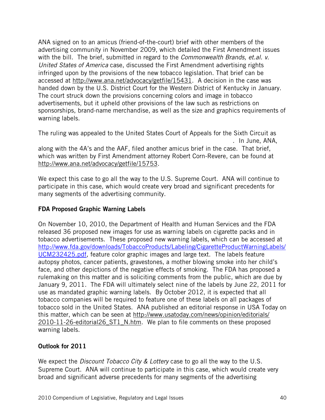ANA signed on to an amicus (friend-of-the-court) brief with other members of the advertising community in November 2009, which detailed the First Amendment issues with the bill. The brief, submitted in regard to the *Commonwealth Brands, et.al. v.* United States of America case, discussed the First Amendment advertising rights infringed upon by the provisions of the new tobacco legislation. That brief can be accessed at http://www.ana.net/advocacy/getfile/15431. A decision in the case was handed down by the U.S. District Court for the Western District of Kentucky in January. The court struck down the provisions concerning colors and image in tobacco advertisements, but it upheld other provisions of the law such as restrictions on sponsorships, brand-name merchandise, as well as the size and graphics requirements of warning labels.

The ruling was appealed to the United States Court of Appeals for the Sixth Circuit as . In June, ANA, along with the 4A's and the AAF, filed another amicus brief in the case. That brief, which was written by First Amendment attorney Robert Corn-Revere, can be found at http://www.ana.net/advocacy/getfile/15753.

We expect this case to go all the way to the U.S. Supreme Court. ANA will continue to participate in this case, which would create very broad and significant precedents for many segments of the advertising community.

# FDA Proposed Graphic Warning Labels

On November 10, 2010, the Department of Health and Human Services and the FDA released 36 proposed new images for use as warning labels on cigarette packs and in tobacco advertisements. These proposed new warning labels, which can be accessed at http://www.fda.gov/downloads/TobaccoProducts/Labeling/CigaretteProductWarningLabels/ UCM232425.pdf, feature color graphic images and large text. The labels feature autopsy photos, cancer patients, gravestones, a mother blowing smoke into her child's face, and other depictions of the negative effects of smoking. The FDA has proposed a rulemaking on this matter and is soliciting comments from the public, which are due by January 9, 2011. The FDA will ultimately select nine of the labels by June 22, 2011 for use as mandated graphic warning labels. By October 2012, it is expected that all tobacco companies will be required to feature one of these labels on all packages of tobacco sold in the United States. ANA published an editorial response in USA Today on this matter, which can be seen at http://www.usatoday.com/news/opinion/editorials/ 2010-11-26-editorial26 ST1 N.htm. We plan to file comments on these proposed warning labels.

# Outlook for 2011

We expect the *Discount Tobacco City & Lottery* case to go all the way to the U.S. Supreme Court. ANA will continue to participate in this case, which would create very broad and significant adverse precedents for many segments of the advertising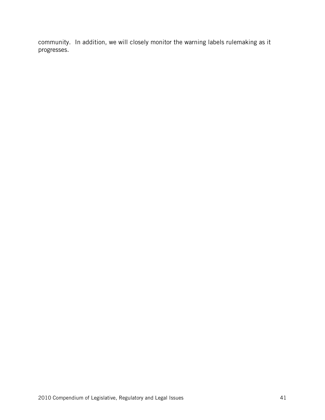community. In addition, we will closely monitor the warning labels rulemaking as it progresses.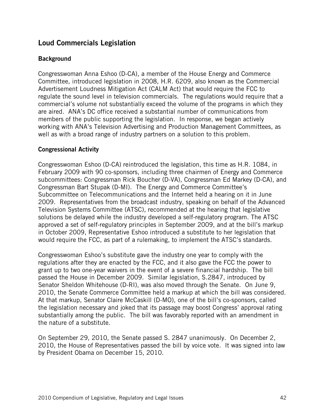# Loud Commercials Legislation

#### **Background**

Congresswoman Anna Eshoo (D-CA), a member of the House Energy and Commerce Committee, introduced legislation in 2008, H.R. 6209, also known as the Commercial Advertisement Loudness Mitigation Act (CALM Act) that would require the FCC to regulate the sound level in television commercials. The regulations would require that a commercial's volume not substantially exceed the volume of the programs in which they are aired. ANA's DC office received a substantial number of communications from members of the public supporting the legislation. In response, we began actively working with ANA's Television Advertising and Production Management Committees, as well as with a broad range of industry partners on a solution to this problem.

#### Congressional Activity

Congresswoman Eshoo (D-CA) reintroduced the legislation, this time as H.R. 1084, in February 2009 with 90 co-sponsors, including three chairmen of Energy and Commerce subcommittees: Congressman Rick Boucher (D-VA), Congressman Ed Markey (D-CA), and Congressman Bart Stupak (D-MI). The Energy and Commerce Committee's Subcommittee on Telecommunications and the Internet held a hearing on it in June 2009. Representatives from the broadcast industry, speaking on behalf of the Advanced Television Systems Committee (ATSC), recommended at the hearing that legislative solutions be delayed while the industry developed a self-regulatory program. The ATSC approved a set of self-regulatory principles in September 2009, and at the bill's markup in October 2009, Representative Eshoo introduced a substitute to her legislation that would require the FCC, as part of a rulemaking, to implement the ATSC's standards.

Congresswoman Eshoo's substitute gave the industry one year to comply with the regulations after they are enacted by the FCC, and it also gave the FCC the power to grant up to two one-year waivers in the event of a severe financial hardship. The bill passed the House in December 2009. Similar legislation, S.2847, introduced by Senator Sheldon Whitehouse (D-RI), was also moved through the Senate. On June 9, 2010, the Senate Commerce Committee held a markup at which the bill was considered. At that markup, Senator Claire McCaskill (D-MO), one of the bill's co-sponsors, called the legislation necessary and joked that its passage may boost Congress' approval rating substantially among the public. The bill was favorably reported with an amendment in the nature of a substitute.

On September 29, 2010, the Senate passed S. 2847 unanimously. On December 2, 2010, the House of Representatives passed the bill by voice vote. It was signed into law by President Obama on December 15, 2010.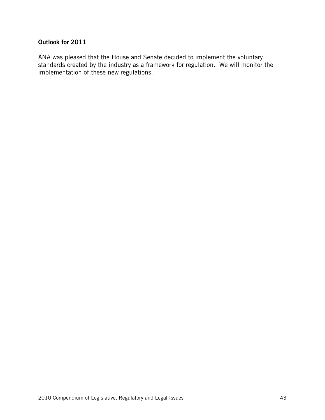## Outlook for 2011

ANA was pleased that the House and Senate decided to implement the voluntary standards created by the industry as a framework for regulation. We will monitor the implementation of these new regulations.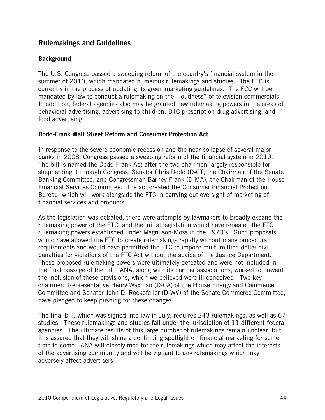# Rulemakings and Guidelines

#### **Background**

The U.S. Congress passed a sweeping reform of the country's financial system in the summer of 2010, which mandated numerous rulemakings and studies. The FTC is currently in the process of updating its green marketing guidelines. The FCC will be mandated by law to conduct a rulemaking on the "loudness" of television commercials. In addition, federal agencies also may be granted new rulemaking powers in the areas of behavioral advertising, advertising to children, DTC prescription drug advertising, and food advertising.

#### Dodd-Frank Wall Street Reform and Consumer Protection Act

In response to the severe economic recession and the near collapse of several major banks in 2008, Congress passed a sweeping reform of the financial system in 2010. The bill is named the Dodd-Frank Act after the two chairmen largely responsible for shepherding it through Congress, Senator Chris Dodd (D-CT, the Chairman of the Senate Banking Committee, and Congressman Barney Frank (D-MA), the Chairman of the House Financial Services Committee. The act created the Consumer Financial Protection Bureau, which will work alongside the FTC in carrying out oversight of marketing of financial services and products.

As the legislation was debated, there were attempts by lawmakers to broadly expand the rulemaking power of the FTC, and the initial legislation would have repealed the FTC rulemaking powers established under Magnuson-Moss in the 1970's. Such proposals would have allowed the FTC to create rulemakings rapidly without many procedural requirements and would have permitted the FTC to impose multi-million dollar civil penalties for violations of the FTC Act without the advice of the Justice Department. These proposed rulemaking powers were ultimately defeated and were not included in the final passage of the bill. ANA, along with its partner associations, worked to prevent the inclusion of these provisions, which we believed were ill-conceived. Two key chairmen, Representative Henry Waxman (D-CA) of the House Energy and Commerce Committee and Senator John D. Rockefeller (D-WV) of the Senate Commerce Committee, have pledged to keep pushing for these changes.

The final bill, which was signed into law in July, requires 243 rulemakings, as well as 67 studies. These rulemakings and studies fall under the jurisdiction of 11 different federal agencies. The ultimate results of this large number of rulemakings remain unclear, but it is assured that they will shine a continuing spotlight on financial marketing for some time to come. ANA will closely monitor the rulemakings which may affect the interests of the advertising community and will be vigilant to any rulemakings which may adversely affect advertisers.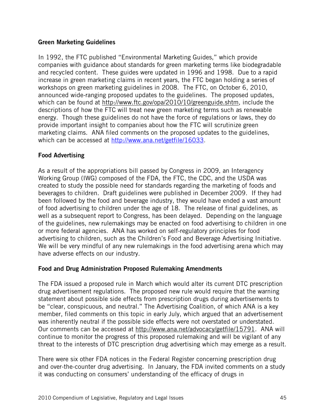#### Green Marketing Guidelines

In 1992, the FTC published "Environmental Marketing Guides," which provide companies with guidance about standards for green marketing terms like biodegradable and recycled content. These guides were updated in 1996 and 1998. Due to a rapid increase in green marketing claims in recent years, the FTC began holding a series of workshops on green marketing guidelines in 2008. The FTC, on October 6, 2010, announced wide-ranging proposed updates to the guidelines. The proposed updates, which can be found at http://www.ftc.gov/opa/2010/10/greenguide.shtm, include the descriptions of how the FTC will treat new green marketing terms such as renewable energy. Though these guidelines do not have the force of regulations or laws, they do provide important insight to companies about how the FTC will scrutinize green marketing claims. ANA filed comments on the proposed updates to the guidelines, which can be accessed at http://www.ana.net/getfile/16033.

# Food Advertising

As a result of the appropriations bill passed by Congress in 2009, an Interagency Working Group (IWG) composed of the FDA, the FTC, the CDC, and the USDA was created to study the possible need for standards regarding the marketing of foods and beverages to children. Draft guidelines were published in December 2009. If they had been followed by the food and beverage industry, they would have ended a vast amount of food advertising to children under the age of 18. The release of final guidelines, as well as a subsequent report to Congress, has been delayed. Depending on the language of the guidelines, new rulemakings may be enacted on food advertising to children in one or more federal agencies. ANA has worked on self-regulatory principles for food advertising to children, such as the Children's Food and Beverage Advertising Initiative. We will be very mindful of any new rulemakings in the food advertising arena which may have adverse effects on our industry.

#### Food and Drug Administration Proposed Rulemaking Amendments

The FDA issued a proposed rule in March which would alter its current DTC prescription drug advertisement regulations. The proposed new rule would require that the warning statement about possible side effects from prescription drugs during advertisements to be "clear, conspicuous, and neutral." The Advertising Coalition, of which ANA is a key member, filed comments on this topic in early July, which argued that an advertisement was inherently neutral if the possible side effects were not overstated or understated. Our comments can be accessed at http://www.ana.net/advocacy/getfile/15791. ANA will continue to monitor the progress of this proposed rulemaking and will be vigilant of any threat to the interests of DTC prescription drug advertising which may emerge as a result.

There were six other FDA notices in the Federal Register concerning prescription drug and over-the-counter drug advertising. In January, the FDA invited comments on a study it was conducting on consumers' understanding of the efficacy of drugs in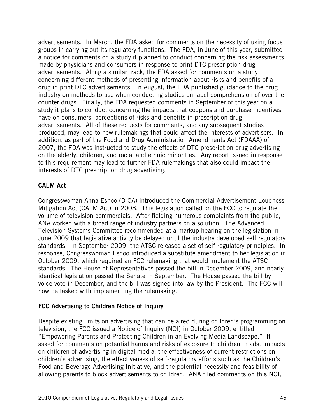advertisements. In March, the FDA asked for comments on the necessity of using focus groups in carrying out its regulatory functions. The FDA, in June of this year, submitted a notice for comments on a study it planned to conduct concerning the risk assessments made by physicians and consumers in response to print DTC prescription drug advertisements. Along a similar track, the FDA asked for comments on a study concerning different methods of presenting information about risks and benefits of a drug in print DTC advertisements. In August, the FDA published guidance to the drug industry on methods to use when conducting studies on label comprehension of over-thecounter drugs. Finally, the FDA requested comments in September of this year on a study it plans to conduct concerning the impacts that coupons and purchase incentives have on consumers' perceptions of risks and benefits in prescription drug advertisements. All of these requests for comments, and any subsequent studies produced, may lead to new rulemakings that could affect the interests of advertisers. In addition, as part of the Food and Drug Administration Amendments Act (FDAAA) of 2007, the FDA was instructed to study the effects of DTC prescription drug advertising on the elderly, children, and racial and ethnic minorities. Any report issued in response to this requirement may lead to further FDA rulemakings that also could impact the interests of DTC prescription drug advertising.

#### CALM Act

Congresswoman Anna Eshoo (D-CA) introduced the Commercial Advertisement Loudness Mitigation Act (CALM Act) in 2008. This legislation called on the FCC to regulate the volume of television commercials. After fielding numerous complaints from the public, ANA worked with a broad range of industry partners on a solution. The Advanced Television Systems Committee recommended at a markup hearing on the legislation in June 2009 that legislative activity be delayed until the industry developed self regulatory standards. In September 2009, the ATSC released a set of self-regulatory principles. In response, Congresswoman Eshoo introduced a substitute amendment to her legislation in October 2009, which required an FCC rulemaking that would implement the ATSC standards. The House of Representatives passed the bill in December 2009, and nearly identical legislation passed the Senate in September. The House passed the bill by voice vote in December, and the bill was signed into law by the President. The FCC will now be tasked with implementing the rulemaking.

#### FCC Advertising to Children Notice of Inquiry

Despite existing limits on advertising that can be aired during children's programming on television, the FCC issued a Notice of Inquiry (NOI) in October 2009, entitled "Empowering Parents and Protecting Children in an Evolving Media Landscape." It asked for comments on potential harms and risks of exposure to children in ads, impacts on children of advertising in digital media, the effectiveness of current restrictions on children's advertising, the effectiveness of self-regulatory efforts such as the Children's Food and Beverage Advertising Initiative, and the potential necessity and feasibility of allowing parents to block advertisements to children. ANA filed comments on this NOI,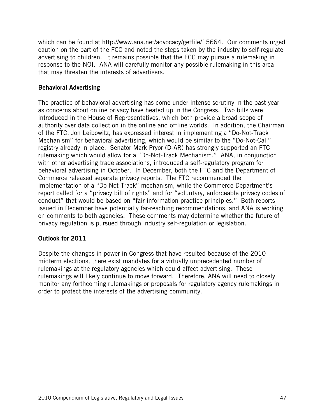which can be found at http://www.ana.net/advocacy/getfile/15664. Our comments urged caution on the part of the FCC and noted the steps taken by the industry to self-regulate advertising to children. It remains possible that the FCC may pursue a rulemaking in response to the NOI. ANA will carefully monitor any possible rulemaking in this area that may threaten the interests of advertisers.

## Behavioral Advertising

The practice of behavioral advertising has come under intense scrutiny in the past year as concerns about online privacy have heated up in the Congress. Two bills were introduced in the House of Representatives, which both provide a broad scope of authority over data collection in the online and offline worlds. In addition, the Chairman of the FTC, Jon Leibowitz, has expressed interest in implementing a "Do-Not-Track Mechanism" for behavioral advertising, which would be similar to the "Do-Not-Call" registry already in place. Senator Mark Pryor (D-AR) has strongly supported an FTC rulemaking which would allow for a "Do-Not-Track Mechanism." ANA, in conjunction with other advertising trade associations, introduced a self-regulatory program for behavioral advertising in October. In December, both the FTC and the Department of Commerce released separate privacy reports. The FTC recommended the implementation of a "Do-Not-Track" mechanism, while the Commerce Department's report called for a "privacy bill of rights" and for "voluntary, enforceable privacy codes of conduct" that would be based on "fair information practice principles." Both reports issued in December have potentially far-reaching recommendations, and ANA is working on comments to both agencies. These comments may determine whether the future of privacy regulation is pursued through industry self-regulation or legislation.

#### Outlook for 2011

Despite the changes in power in Congress that have resulted because of the 2010 midterm elections, there exist mandates for a virtually unprecedented number of rulemakings at the regulatory agencies which could affect advertising. These rulemakings will likely continue to move forward. Therefore, ANA will need to closely monitor any forthcoming rulemakings or proposals for regulatory agency rulemakings in order to protect the interests of the advertising community.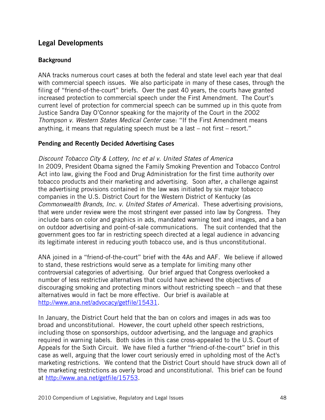# Legal Developments

# **Background**

ANA tracks numerous court cases at both the federal and state level each year that deal with commercial speech issues. We also participate in many of these cases, through the filing of "friend-of-the-court" briefs. Over the past 40 years, the courts have granted increased protection to commercial speech under the First Amendment. The Court's current level of protection for commercial speech can be summed up in this quote from Justice Sandra Day O'Connor speaking for the majority of the Court in the 2002 Thompson v. Western States Medical Center case: "If the First Amendment means anything, it means that regulating speech must be a last – not first – resort."

# Pending and Recently Decided Advertising Cases

Discount Tobacco City & Lottery, Inc et al v. United States of America In 2009, President Obama signed the Family Smoking Prevention and Tobacco Control Act into law, giving the Food and Drug Administration for the first time authority over tobacco products and their marketing and advertising. Soon after, a challenge against the advertising provisions contained in the law was initiated by six major tobacco companies in the U.S. District Court for the Western District of Kentucky (as Commonwealth Brands, Inc. v. United States of America). These advertising provisions, that were under review were the most stringent ever passed into law by Congress. They include bans on color and graphics in ads, mandated warning text and images, and a ban on outdoor advertising and point-of-sale communications. The suit contended that the government goes too far in restricting speech directed at a legal audience in advancing its legitimate interest in reducing youth tobacco use, and is thus unconstitutional.

ANA joined in a "friend-of-the-court" brief with the 4As and AAF. We believe if allowed to stand, these restrictions would serve as a template for limiting many other controversial categories of advertising. Our brief argued that Congress overlooked a number of less restrictive alternatives that could have achieved the objectives of discouraging smoking and protecting minors without restricting speech – and that these alternatives would in fact be more effective. Our brief is available at http://www.ana.net/advocacy/getfile/15431.

In January, the District Court held that the ban on colors and images in ads was too broad and unconstitutional. However, the court upheld other speech restrictions, including those on sponsorships, outdoor advertising, and the language and graphics required in warning labels. Both sides in this case cross-appealed to the U.S. Court of Appeals for the Sixth Circuit. We have filed a further "friend-of-the-court" brief in this case as well, arguing that the lower court seriously erred in upholding most of the Act's marketing restrictions. We contend that the District Court should have struck down all of the marketing restrictions as overly broad and unconstitutional. This brief can be found at http://www.ana.net/getfile/15753.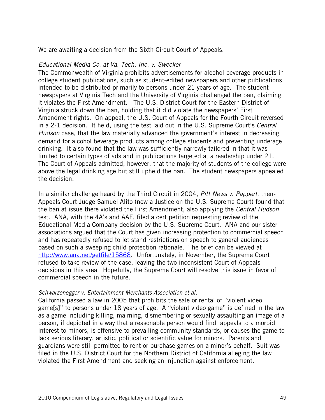We are awaiting a decision from the Sixth Circuit Court of Appeals.

#### Educational Media Co. at Va. Tech, Inc. v. Swecker

The Commonwealth of Virginia prohibits advertisements for alcohol beverage products in college student publications, such as student-edited newspapers and other publications intended to be distributed primarily to persons under 21 years of age. The student newspapers at Virginia Tech and the University of Virginia challenged the ban, claiming it violates the First Amendment. The U.S. District Court for the Eastern District of Virginia struck down the ban, holding that it did violate the newspapers' First Amendment rights. On appeal, the U.S. Court of Appeals for the Fourth Circuit reversed in a 2-1 decision. It held, using the test laid out in the U.S. Supreme Court's Central Hudson case, that the law materially advanced the government's interest in decreasing demand for alcohol beverage products among college students and preventing underage drinking. It also found that the law was sufficiently narrowly tailored in that it was limited to certain types of ads and in publications targeted at a readership under 21. The Court of Appeals admitted, however, that the majority of students of the college were above the legal drinking age but still upheld the ban. The student newspapers appealed the decision.

In a similar challenge heard by the Third Circuit in 2004, *Pitt News v. Pappert*, then-Appeals Court Judge Samuel Alito (now a Justice on the U.S. Supreme Court) found that the ban at issue there violated the First Amendment, also applying the Central Hudson test. ANA, with the 4A's and AAF, filed a cert petition requesting review of the Educational Media Company decision by the U.S. Supreme Court. ANA and our sister associations argued that the Court has given increasing protection to commercial speech and has repeatedly refused to let stand restrictions on speech to general audiences based on such a sweeping child protection rationale. The brief can be viewed at http://www.ana.net/getfile/15868. Unfortunately, in November, the Supreme Court refused to take review of the case, leaving the two inconsistent Court of Appeals decisions in this area. Hopefully, the Supreme Court will resolve this issue in favor of commercial speech in the future.

#### Schwarzenegger v. Entertainment Merchants Association et al.

California passed a law in 2005 that prohibits the sale or rental of "violent video game[s]" to persons under 18 years of age. A "violent video game" is defined in the law as a game including killing, maiming, dismembering or sexually assaulting an image of a person, if depicted in a way that a reasonable person would find appeals to a morbid interest to minors, is offensive to prevailing community standards, or causes the game to lack serious literary, artistic, political or scientific value for minors. Parents and guardians were still permitted to rent or purchase games on a minor's behalf. Suit was filed in the U.S. District Court for the Northern District of California alleging the law violated the First Amendment and seeking an injunction against enforcement.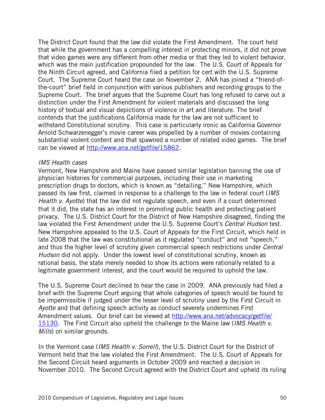The District Court found that the law did violate the First Amendment. The court held that while the government has a compelling interest in protecting minors, it did not prove that video games were any different from other media or that they led to violent behavior, which was the main justification propounded for the law. The U.S. Court of Appeals for the Ninth Circuit agreed, and California filed a petition for cert with the U.S. Supreme Court. The Supreme Court heard the case on November 2. ANA has joined a "friend-ofthe-court" brief field in conjunction with various publishers and recording groups to the Supreme Court. The brief argues that the Supreme Court has long refused to carve out a distinction under the First Amendment for violent materials and discussed the long history of textual and visual depictions of violence in art and literature. The brief contends that the justifications California made for the law are not sufficient to withstand Constitutional scrutiny. This case is particularly ironic as California Governor Arnold Schwarzenegger's movie career was propelled by a number of movies containing substantial violent content and that spawned a number of related video games. The brief can be viewed at http://www.ana.net/getfile/15862.

#### IMS Health cases

Vermont, New Hampshire and Maine have passed similar legislation banning the use of physician histories for commercial purposes, including their use in marketing prescription drugs to doctors, which is known as "detailing." New Hampshire, which passed its law first, claimed in response to a challenge to the law in federal court (IMS Health v. Ayotte) that the law did not regulate speech, and even if a court determined that it did, the state has an interest in promoting public health and protecting patient privacy. The U.S. District Court for the District of New Hampshire disagreed, finding the law violated the First Amendment under the U.S. Supreme Court's Central Hudson test. New Hampshire appealed to the U.S. Court of Appeals for the First Circuit, which held in late 2008 that the law was constitutional as it regulated "conduct" and not "speech," and thus the higher level of scrutiny given commercial speech restrictions under Central Hudson did not apply. Under the lowest level of constitutional scrutiny, known as rational basis, the state merely needed to show its actions were rationally related to a legitimate government interest, and the court would be required to uphold the law.

The U.S. Supreme Court declined to hear the case in 2009. ANA previously had filed a brief with the Supreme Court arguing that whole categories of speech would be found to be impermissible if judged under the lesser level of scrutiny used by the First Circuit in Ayotte and that defining speech activity as conduct severely undermines First Amendment values. Our brief can be viewed at http://www.ana.net/advocacy/getfile/ 15130. The First Circuit also upheld the challenge to the Maine law (IMS Health v. Mills) on similar grounds.

In the Vermont case (IMS Health v. Sorrell), the U.S. District Court for the District of Vermont held that the law violated the First Amendment. The U.S. Court of Appeals for the Second Circuit heard arguments in October 2009 and reached a decision in November 2010. The Second Circuit agreed with the District Court and upheld its ruling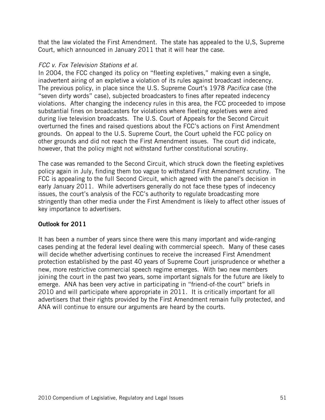that the law violated the First Amendment. The state has appealed to the U,S, Supreme Court, which announced in January 2011 that it will hear the case.

## FCC v. Fox Television Stations et al.

In 2004, the FCC changed its policy on "fleeting expletives," making even a single, inadvertent airing of an expletive a violation of its rules against broadcast indecency. The previous policy, in place since the U.S. Supreme Court's 1978 Pacifica case (the "seven dirty words" case), subjected broadcasters to fines after repeated indecency violations. After changing the indecency rules in this area, the FCC proceeded to impose substantial fines on broadcasters for violations where fleeting expletives were aired during live television broadcasts. The U.S. Court of Appeals for the Second Circuit overturned the fines and raised questions about the FCC's actions on First Amendment grounds. On appeal to the U.S. Supreme Court, the Court upheld the FCC policy on other grounds and did not reach the First Amendment issues. The court did indicate, however, that the policy might not withstand further constitutional scrutiny.

The case was remanded to the Second Circuit, which struck down the fleeting expletives policy again in July, finding them too vague to withstand First Amendment scrutiny. The FCC is appealing to the full Second Circuit, which agreed with the panel's decision in early January 2011. While advertisers generally do not face these types of indecency issues, the court's analysis of the FCC's authority to regulate broadcasting more stringently than other media under the First Amendment is likely to affect other issues of key importance to advertisers.

# Outlook for 2011

It has been a number of years since there were this many important and wide-ranging cases pending at the federal level dealing with commercial speech. Many of these cases will decide whether advertising continues to receive the increased First Amendment protection established by the past 40 years of Supreme Court jurisprudence or whether a new, more restrictive commercial speech regime emerges. With two new members joining the court in the past two years, some important signals for the future are likely to emerge. ANA has been very active in participating in "friend-of-the court" briefs in 2010 and will participate where appropriate in 2011. It is critically important for all advertisers that their rights provided by the First Amendment remain fully protected, and ANA will continue to ensure our arguments are heard by the courts.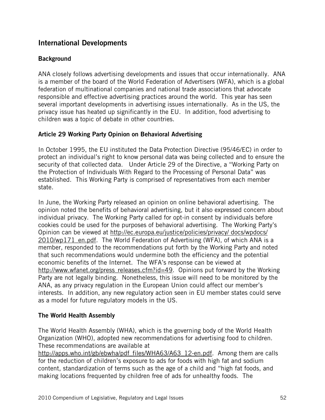# International Developments

# **Background**

ANA closely follows advertising developments and issues that occur internationally. ANA is a member of the board of the World Federation of Advertisers (WFA), which is a global federation of multinational companies and national trade associations that advocate responsible and effective advertising practices around the world. This year has seen several important developments in advertising issues internationally. As in the US, the privacy issue has heated up significantly in the EU. In addition, food advertising to children was a topic of debate in other countries.

#### Article 29 Working Party Opinion on Behavioral Advertising

In October 1995, the EU instituted the Data Protection Directive (95/46/EC) in order to protect an individual's right to know personal data was being collected and to ensure the security of that collected data. Under Article 29 of the Directive, a "Working Party on the Protection of Individuals With Regard to the Processing of Personal Data" was established. This Working Party is comprised of representatives from each member state.

In June, the Working Party released an opinion on online behavioral advertising. The opinion noted the benefits of behavioral advertising, but it also expressed concern about individual privacy. The Working Party called for opt-in consent by individuals before cookies could be used for the purposes of behavioral advertising. The Working Party's Opinion can be viewed at http://ec.europa.eu/justice/policies/privacy/ docs/wpdocs/ 2010/wp171 en.pdf. The World Federation of Advertising (WFA), of which ANA is a member, responded to the recommendations put forth by the Working Party and noted that such recommendations would undermine both the efficiency and the potential economic benefits of the Internet. The WFA's response can be viewed at http://www.wfanet.org/press\_releases.cfm?id=49. Opinions put forward by the Working Party are not legally binding. Nonetheless, this issue will need to be monitored by the ANA, as any privacy regulation in the European Union could affect our member's interests. In addition, any new regulatory action seen in EU member states could serve as a model for future regulatory models in the US.

#### The World Health Assembly

The World Health Assembly (WHA), which is the governing body of the World Health Organization (WHO), adopted new recommendations for advertising food to children. These recommendations are available at

http://apps.who.int/gb/ebwha/pdf\_files/WHA63/A63\_12-en.pdf. Among them are calls for the reduction of children's exposure to ads for foods with high fat and sodium content, standardization of terms such as the age of a child and "high fat foods, and making locations frequented by children free of ads for unhealthy foods. The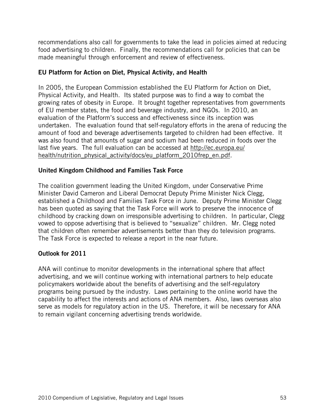recommendations also call for governments to take the lead in policies aimed at reducing food advertising to children. Finally, the recommendations call for policies that can be made meaningful through enforcement and review of effectiveness.

# EU Platform for Action on Diet, Physical Activity, and Health

In 2005, the European Commission established the EU Platform for Action on Diet, Physical Activity, and Health. Its stated purpose was to find a way to combat the growing rates of obesity in Europe. It brought together representatives from governments of EU member states, the food and beverage industry, and NGOs. In 2010, an evaluation of the Platform's success and effectiveness since its inception was undertaken. The evaluation found that self-regulatory efforts in the arena of reducing the amount of food and beverage advertisements targeted to children had been effective. It was also found that amounts of sugar and sodium had been reduced in foods over the last five years. The full evaluation can be accessed at http://ec.europa.eu/ health/nutrition physical activity/docs/eu platform 2010frep en.pdf.

#### United Kingdom Childhood and Families Task Force

The coalition government leading the United Kingdom, under Conservative Prime Minister David Cameron and Liberal Democrat Deputy Prime Minister Nick Clegg, established a Childhood and Families Task Force in June. Deputy Prime Minister Clegg has been quoted as saying that the Task Force will work to preserve the innocence of childhood by cracking down on irresponsible advertising to children. In particular, Clegg vowed to oppose advertising that is believed to "sexualize" children. Mr. Clegg noted that children often remember advertisements better than they do television programs. The Task Force is expected to release a report in the near future.

# Outlook for 2011

ANA will continue to monitor developments in the international sphere that affect advertising, and we will continue working with international partners to help educate policymakers worldwide about the benefits of advertising and the self-regulatory programs being pursued by the industry. Laws pertaining to the online world have the capability to affect the interests and actions of ANA members. Also, laws overseas also serve as models for regulatory action in the US. Therefore, it will be necessary for ANA to remain vigilant concerning advertising trends worldwide.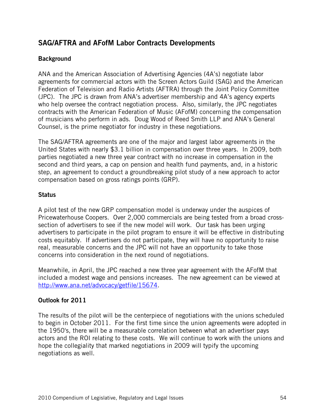# SAG/AFTRA and AFofM Labor Contracts Developments

## **Background**

ANA and the American Association of Advertising Agencies (4A's) negotiate labor agreements for commercial actors with the Screen Actors Guild (SAG) and the American Federation of Television and Radio Artists (AFTRA) through the Joint Policy Committee (JPC). The JPC is drawn from ANA's advertiser membership and 4A's agency experts who help oversee the contract negotiation process. Also, similarly, the JPC negotiates contracts with the American Federation of Music (AFofM) concerning the compensation of musicians who perform in ads. Doug Wood of Reed Smith LLP and ANA's General Counsel, is the prime negotiator for industry in these negotiations.

The SAG/AFTRA agreements are one of the major and largest labor agreements in the United States with nearly \$3.1 billion in compensation over three years. In 2009, both parties negotiated a new three year contract with no increase in compensation in the second and third years, a cap on pension and health fund payments, and, in a historic step, an agreement to conduct a groundbreaking pilot study of a new approach to actor compensation based on gross ratings points (GRP).

#### **Status**

A pilot test of the new GRP compensation model is underway under the auspices of Pricewaterhouse Coopers. Over 2,000 commercials are being tested from a broad crosssection of advertisers to see if the new model will work. Our task has been urging advertisers to participate in the pilot program to ensure it will be effective in distributing costs equitably. If advertisers do not participate, they will have no opportunity to raise real, measurable concerns and the JPC will not have an opportunity to take those concerns into consideration in the next round of negotiations.

Meanwhile, in April, the JPC reached a new three year agreement with the AFofM that included a modest wage and pensions increases. The new agreement can be viewed at http://www.ana.net/advocacy/getfile/15674.

# Outlook for 2011

The results of the pilot will be the centerpiece of negotiations with the unions scheduled to begin in October 2011. For the first time since the union agreements were adopted in the 1950's, there will be a measurable correlation between what an advertiser pays actors and the ROI relating to these costs. We will continue to work with the unions and hope the collegiality that marked negotiations in 2009 will typify the upcoming negotiations as well.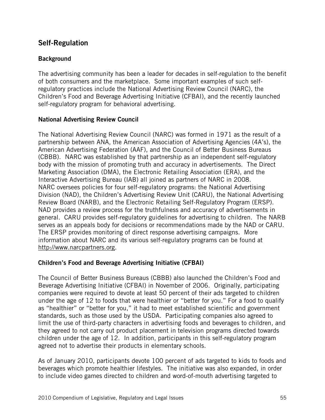# Self-Regulation

# **Background**

The advertising community has been a leader for decades in self-regulation to the benefit of both consumers and the marketplace. Some important examples of such selfregulatory practices include the National Advertising Review Council (NARC), the Children's Food and Beverage Advertising Initiative (CFBAI), and the recently launched self-regulatory program for behavioral advertising.

# National Advertising Review Council

The National Advertising Review Council (NARC) was formed in 1971 as the result of a partnership between ANA, the American Association of Advertising Agencies (4A's), the American Advertising Federation (AAF), and the Council of Better Business Bureaus (CBBB). NARC was established by that partnership as an independent self-regulatory body with the mission of promoting truth and accuracy in advertisements. The Direct Marketing Association (DMA), the Electronic Retailing Association (ERA), and the Interactive Advertising Bureau (IAB) all joined as partners of NARC in 2008. NARC oversees policies for four self-regulatory programs: the National Advertising Division (NAD), the Children's Advertising Review Unit (CARU), the National Advertising Review Board (NARB), and the Electronic Retailing Self-Regulatory Program (ERSP). NAD provides a review process for the truthfulness and accuracy of advertisements in general. CARU provides self-regulatory guidelines for advertising to children. The NARB serves as an appeals body for decisions or recommendations made by the NAD or CARU. The ERSP provides monitoring of direct response advertising campaigns. More information about NARC and its various self-regulatory programs can be found at http://www.narcpartners.org.

# Children's Food and Beverage Advertising Initiative (CFBAI)

The Council of Better Business Bureaus (CBBB) also launched the Children's Food and Beverage Advertising Initiative (CFBAI) in November of 2006. Originally, participating companies were required to devote at least 50 percent of their ads targeted to children under the age of 12 to foods that were healthier or "better for you." For a food to qualify as "healthier" or "better for you," it had to meet established scientific and government standards, such as those used by the USDA. Participating companies also agreed to limit the use of third-party characters in advertising foods and beverages to children, and they agreed to not carry out product placement in television programs directed towards children under the age of 12. In addition, participants in this self-regulatory program agreed not to advertise their products in elementary schools.

As of January 2010, participants devote 100 percent of ads targeted to kids to foods and beverages which promote healthier lifestyles. The initiative was also expanded, in order to include video games directed to children and word-of-mouth advertising targeted to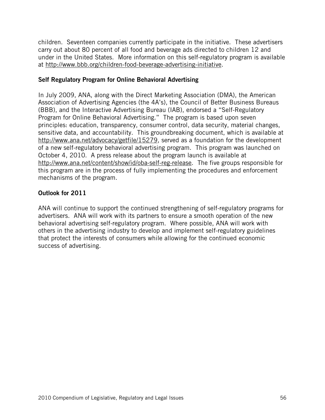children. Seventeen companies currently participate in the initiative. These advertisers carry out about 80 percent of all food and beverage ads directed to children 12 and under in the United States. More information on this self-regulatory program is available at http://www.bbb.org/children-food-beverage-advertising-initiative.

## Self Regulatory Program for Online Behavioral Advertising

In July 2009, ANA, along with the Direct Marketing Association (DMA), the American Association of Advertising Agencies (the 4A's), the Council of Better Business Bureaus (BBB), and the Interactive Advertising Bureau (IAB), endorsed a "Self-Regulatory Program for Online Behavioral Advertising." The program is based upon seven principles: education, transparency, consumer control, data security, material changes, sensitive data, and accountability. This groundbreaking document, which is available at http://www.ana.net/advocacy/getfile/15279, served as a foundation for the development of a new self-regulatory behavioral advertising program. This program was launched on October 4, 2010. A press release about the program launch is available at http://www.ana.net/content/show/id/oba-self-reg-release. The five groups responsible for this program are in the process of fully implementing the procedures and enforcement mechanisms of the program.

# Outlook for 2011

ANA will continue to support the continued strengthening of self-regulatory programs for advertisers. ANA will work with its partners to ensure a smooth operation of the new behavioral advertising self-regulatory program. Where possible, ANA will work with others in the advertising industry to develop and implement self-regulatory guidelines that protect the interests of consumers while allowing for the continued economic success of advertising.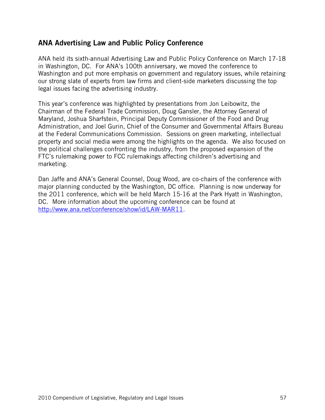# ANA Advertising Law and Public Policy Conference

ANA held its sixth-annual Advertising Law and Public Policy Conference on March 17-18 in Washington, DC. For ANA's 100th anniversary, we moved the conference to Washington and put more emphasis on government and regulatory issues, while retaining our strong slate of experts from law firms and client-side marketers discussing the top legal issues facing the advertising industry.

This year's conference was highlighted by presentations from Jon Leibowitz, the Chairman of the Federal Trade Commission, Doug Gansler, the Attorney General of Maryland, Joshua Sharfstein, Principal Deputy Commissioner of the Food and Drug Administration, and Joel Gurin, Chief of the Consumer and Governmental Affairs Bureau at the Federal Communications Commission. Sessions on green marketing, intellectual property and social media were among the highlights on the agenda. We also focused on the political challenges confronting the industry, from the proposed expansion of the FTC's rulemaking power to FCC rulemakings affecting children's advertising and marketing.

Dan Jaffe and ANA's General Counsel, Doug Wood, are co-chairs of the conference with major planning conducted by the Washington, DC office. Planning is now underway for the 2011 conference, which will be held March 15-16 at the Park Hyatt in Washington, DC. More information about the upcoming conference can be found at http://www.ana.net/conference/show/id/LAW-MAR11.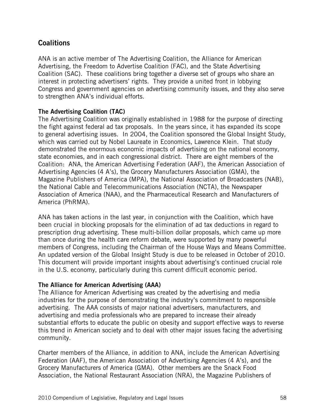# **Coalitions**

ANA is an active member of The Advertising Coalition, the Alliance for American Advertising, the Freedom to Advertise Coalition (FAC), and the State Advertising Coalition (SAC). These coalitions bring together a diverse set of groups who share an interest in protecting advertisers' rights. They provide a united front in lobbying Congress and government agencies on advertising community issues, and they also serve to strengthen ANA's individual efforts.

# The Advertising Coalition (TAC)

The Advertising Coalition was originally established in 1988 for the purpose of directing the fight against federal ad tax proposals. In the years since, it has expanded its scope to general advertising issues. In 2004, the Coalition sponsored the Global Insight Study, which was carried out by Nobel Laureate in Economics, Lawrence Klein. That study demonstrated the enormous economic impacts of advertising on the national economy, state economies, and in each congressional district. There are eight members of the Coalition: ANA, the American Advertising Federation (AAF), the American Association of Advertising Agencies (4 A's), the Grocery Manufacturers Association (GMA), the Magazine Publishers of America (MPA), the National Association of Broadcasters (NAB), the National Cable and Telecommunications Association (NCTA), the Newspaper Association of America (NAA), and the Pharmaceutical Research and Manufacturers of America (PhRMA).

ANA has taken actions in the last year, in conjunction with the Coalition, which have been crucial in blocking proposals for the elimination of ad tax deductions in regard to prescription drug advertising. These multi-billion dollar proposals, which came up more than once during the health care reform debate, were supported by many powerful members of Congress, including the Chairman of the House Ways and Means Committee. An updated version of the Global Insight Study is due to be released in October of 2010. This document will provide important insights about advertising's continued crucial role in the U.S. economy, particularly during this current difficult economic period.

#### The Alliance for American Advertising (AAA)

The Alliance for American Advertising was created by the advertising and media industries for the purpose of demonstrating the industry's commitment to responsible advertising. The AAA consists of major national advertisers, manufacturers, and advertising and media professionals who are prepared to increase their already substantial efforts to educate the public on obesity and support effective ways to reverse this trend in American society and to deal with other major issues facing the advertising community.

Charter members of the Alliance, in addition to ANA, include the American Advertising Federation (AAF), the American Association of Advertising Agencies (4 A's), and the Grocery Manufacturers of America (GMA). Other members are the Snack Food Association, the National Restaurant Association (NRA), the Magazine Publishers of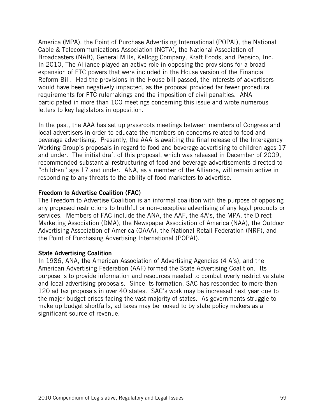America (MPA), the Point of Purchase Advertising International (POPAI), the National Cable & Telecommunications Association (NCTA), the National Association of Broadcasters (NAB), General Mills, Kellogg Company, Kraft Foods, and Pepsico, Inc. In 2010, The Alliance played an active role in opposing the provisions for a broad expansion of FTC powers that were included in the House version of the Financial Reform Bill. Had the provisions in the House bill passed, the interests of advertisers would have been negatively impacted, as the proposal provided far fewer procedural requirements for FTC rulemakings and the imposition of civil penalties. ANA participated in more than 100 meetings concerning this issue and wrote numerous letters to key legislators in opposition.

In the past, the AAA has set up grassroots meetings between members of Congress and local advertisers in order to educate the members on concerns related to food and beverage advertising. Presently, the AAA is awaiting the final release of the Interagency Working Group's proposals in regard to food and beverage advertising to children ages 17 and under. The initial draft of this proposal, which was released in December of 2009, recommended substantial restructuring of food and beverage advertisements directed to "children" age 17 and under. ANA, as a member of the Alliance, will remain active in responding to any threats to the ability of food marketers to advertise.

#### Freedom to Advertise Coalition (FAC)

The Freedom to Advertise Coalition is an informal coalition with the purpose of opposing any proposed restrictions to truthful or non-deceptive advertising of any legal products or services. Members of FAC include the ANA, the AAF, the 4A's, the MPA, the Direct Marketing Association (DMA), the Newspaper Association of America (NAA), the Outdoor Advertising Association of America (OAAA), the National Retail Federation (NRF), and the Point of Purchasing Advertising International (POPAI).

#### State Advertising Coalition

In 1986, ANA, the American Association of Advertising Agencies (4 A's), and the American Advertising Federation (AAF) formed the State Advertising Coalition. Its purpose is to provide information and resources needed to combat overly restrictive state and local advertising proposals. Since its formation, SAC has responded to more than 120 ad tax proposals in over 40 states. SAC's work may be increased next year due to the major budget crises facing the vast majority of states. As governments struggle to make up budget shortfalls, ad taxes may be looked to by state policy makers as a significant source of revenue.